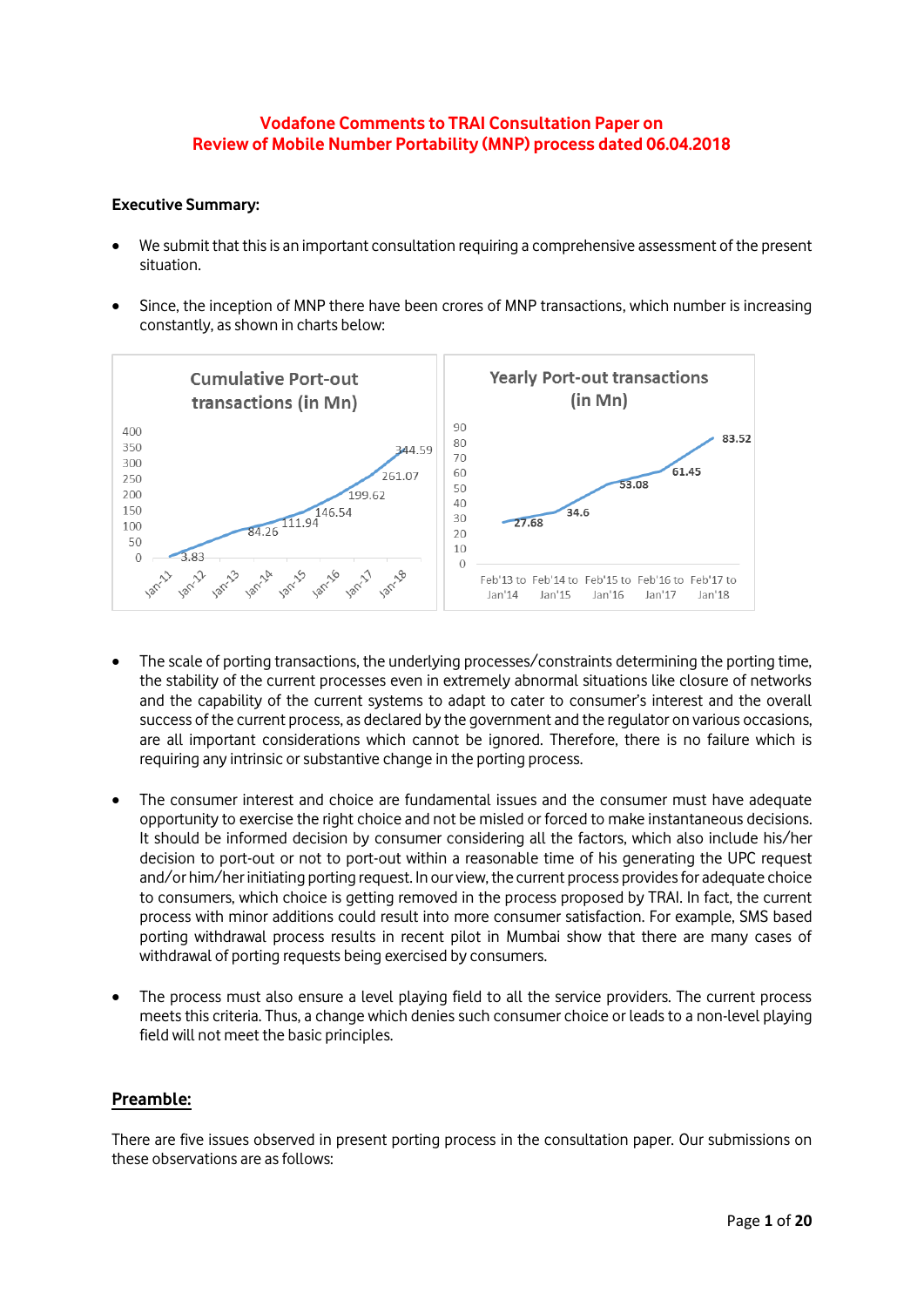# **Vodafone Comments to TRAI Consultation Paper on Review of Mobile Number Portability (MNP) process dated 06.04.2018**

### **Executive Summary:**

- We submit that this is an important consultation requiring a comprehensive assessment of the present situation.
- Since, the inception of MNP there have been crores of MNP transactions, which number is increasing constantly, as shown in charts below:



- The scale of porting transactions, the underlying processes/constraints determining the porting time, the stability of the current processes even in extremely abnormal situations like closure of networks and the capability of the current systems to adapt to cater to consumer's interest and the overall success of the current process, as declared by the government and the regulator on various occasions, are all important considerations which cannot be ignored. Therefore, there is no failure which is requiring any intrinsic or substantive change in the porting process.
- The consumer interest and choice are fundamental issues and the consumer must have adequate opportunity to exercise the right choice and not be misled or forced to make instantaneous decisions. It should be informed decision by consumer considering all the factors, which also include his/her decision to port-out or not to port-out within a reasonable time of his generating the UPC request and/or him/her initiating porting request. In our view, the current process provides for adequate choice to consumers, which choice is getting removed in the process proposed by TRAI. In fact, the current process with minor additions could result into more consumer satisfaction. For example, SMS based porting withdrawal process results in recent pilot in Mumbai show that there are many cases of withdrawal of porting requests being exercised by consumers.
- The process must also ensure a level playing field to all the service providers. The current process meets this criteria. Thus, a change which denies such consumer choice or leads to a non-level playing field will not meet the basic principles.

## **Preamble:**

There are five issues observed in present porting process in the consultation paper. Our submissions on these observations are as follows: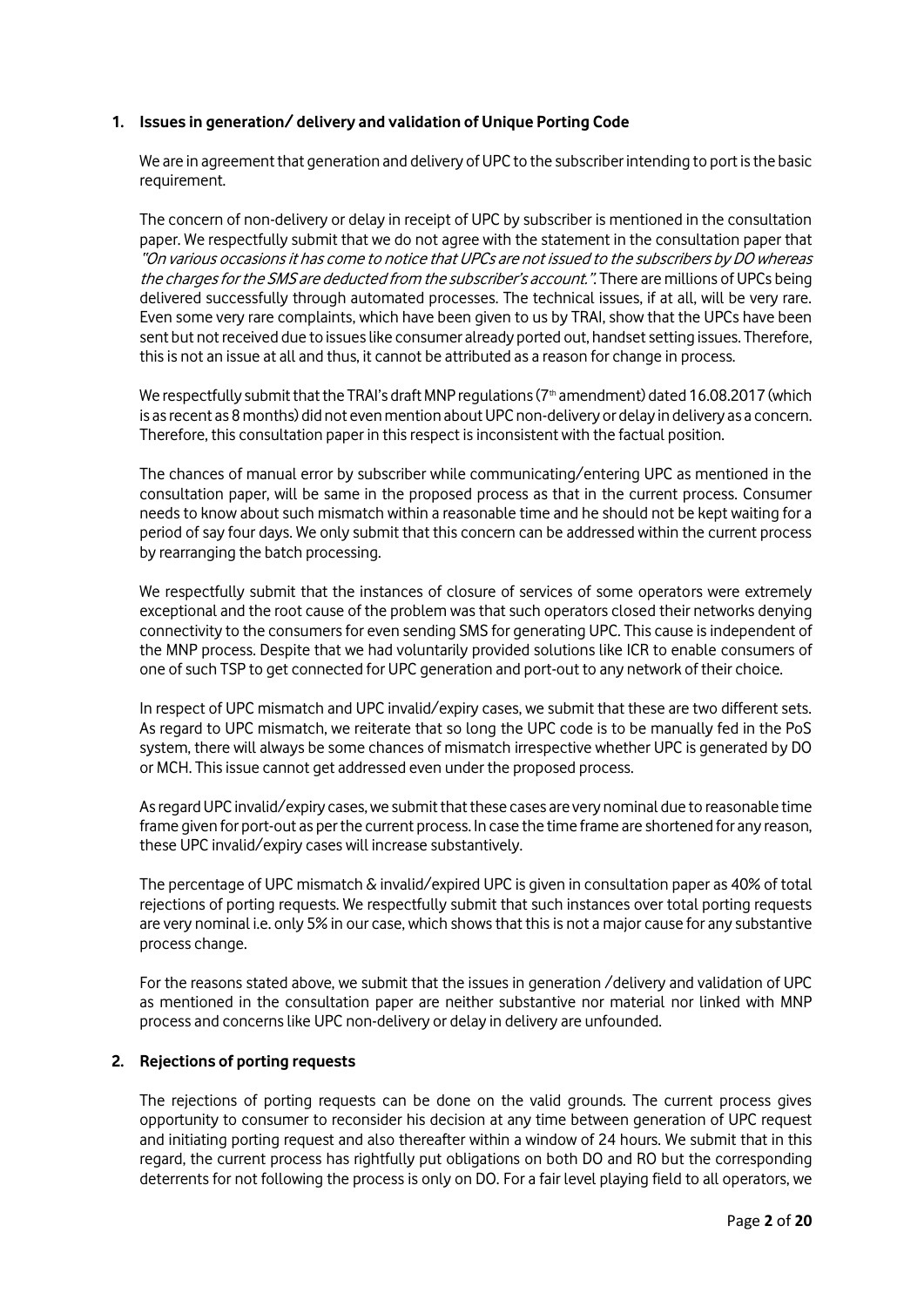# **1. Issues in generation/ delivery and validation of Unique Porting Code**

We are in agreement that generation and delivery of UPC to the subscriber intending to port is the basic requirement.

The concern of non-delivery or delay in receipt of UPC by subscriber is mentioned in the consultation paper. We respectfully submit that we do not agree with the statement in the consultation paper that "On various occasions it has come to notice that UPCs are not issued to the subscribers by DO whereas the charges for the SMS are deducted from the subscriber's account.". There are millions of UPCs being delivered successfully through automated processes. The technical issues, if at all, will be very rare. Even some very rare complaints, which have been given to us by TRAI, show that the UPCs have been sent but not received due to issues like consumer already ported out, handset setting issues. Therefore, this is not an issue at all and thus, it cannot be attributed as a reason for change in process.

We respectfully submit that the TRAI's draft MNP requlations ( $7<sup>th</sup>$  amendment) dated 16.08.2017 (which is as recent as 8 months) did not even mention about UPC non-delivery or delay in delivery as a concern. Therefore, this consultation paper in this respect is inconsistent with the factual position.

The chances of manual error by subscriber while communicating/entering UPC as mentioned in the consultation paper, will be same in the proposed process as that in the current process. Consumer needs to know about such mismatch within a reasonable time and he should not be kept waiting for a period of say four days. We only submit that this concern can be addressed within the current process by rearranging the batch processing.

We respectfully submit that the instances of closure of services of some operators were extremely exceptional and the root cause of the problem was that such operators closed their networks denying connectivity to the consumersfor even sending SMS for generating UPC. This cause isindependent of the MNP process. Despite that we had voluntarily provided solutions like ICR to enable consumers of one of such TSP to get connected for UPC generation and port-out to any network of their choice.

In respect of UPC mismatch and UPC invalid/expiry cases, we submit that these are two different sets. As regard to UPC mismatch, we reiterate that so long the UPC code is to be manually fed in the PoS system, there will always be some chances of mismatch irrespective whether UPC is generated by DO or MCH. This issue cannot get addressed even under the proposed process.

As regard UPC invalid/expiry cases, we submit that these cases are very nominal due to reasonable time frame given for port-out as per the current process. In case the time frame are shortened for any reason, these UPC invalid/expiry cases will increase substantively.

The percentage of UPC mismatch & invalid/expired UPC is given in consultation paper as 40% of total rejections of porting requests. We respectfully submit that such instances over total porting requests are very nominal i.e. only 5% in our case, which shows that this is not a major cause for any substantive process change.

For the reasons stated above, we submit that the issues in generation /delivery and validation of UPC as mentioned in the consultation paper are neither substantive nor material nor linked with MNP process and concerns like UPC non-delivery or delay in delivery are unfounded.

## **2. Rejections of porting requests**

The rejections of porting requests can be done on the valid grounds. The current process gives opportunity to consumer to reconsider his decision at any time between generation of UPC request and initiating porting request and also thereafter within a window of 24 hours. We submit that in this regard, the current process has rightfully put obligations on both DO and RO but the corresponding deterrents for not following the process is only on DO. For a fair level playing field to all operators, we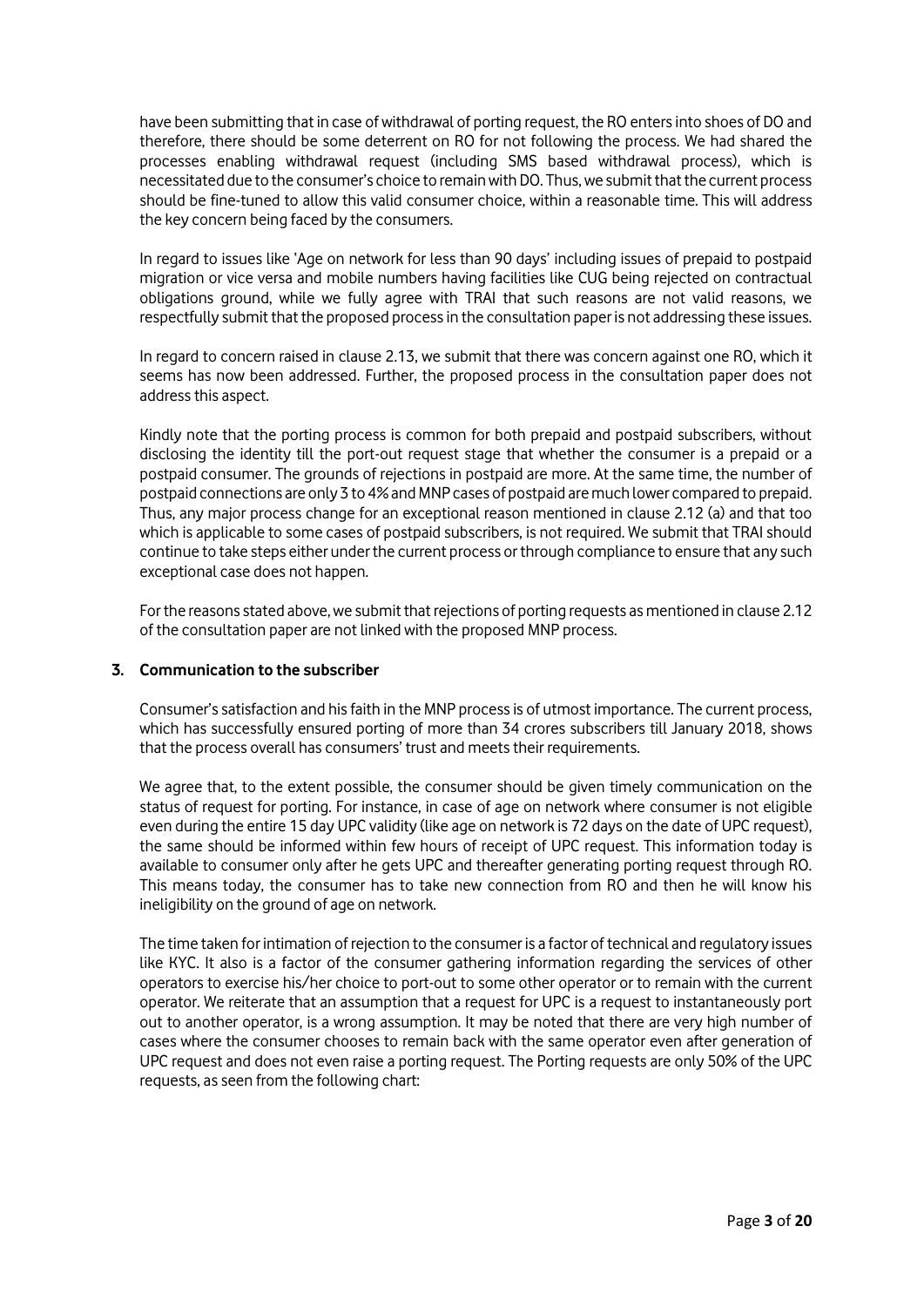have been submitting that in case of withdrawal of porting request, the RO enters into shoes of DO and therefore, there should be some deterrent on RO for not following the process. We had shared the processes enabling withdrawal request (including SMS based withdrawal process), which is necessitated due to the consumer's choice to remain with DO. Thus, we submitthat the current process should be fine-tuned to allow this valid consumer choice, within a reasonable time. This will address the key concern being faced by the consumers.

In regard to issues like 'Age on network for less than 90 days' including issues of prepaid to postpaid migration or vice versa and mobile numbers having facilities like CUG being rejected on contractual obligations ground, while we fully agree with TRAI that such reasons are not valid reasons, we respectfully submit that the proposed process in the consultation paper is not addressing these issues.

In regard to concern raised in clause 2.13, we submit that there was concern against one RO, which it seems has now been addressed. Further, the proposed process in the consultation paper does not address this aspect.

Kindly note that the porting process is common for both prepaid and postpaid subscribers, without disclosing the identity till the port-out request stage that whether the consumer is a prepaid or a postpaid consumer. The grounds of rejections in postpaid are more. At the same time, the number of postpaid connections are only 3 to 4% and MNP cases of postpaid are much lower compared to prepaid. Thus, any major process change for an exceptional reason mentioned in clause 2.12 (a) and that too which is applicable to some cases of postpaid subscribers, is not required. We submit that TRAI should continue to take steps either under the current process or through compliance to ensure that any such exceptional case does not happen.

For the reasons stated above, we submit that rejections of porting requests as mentioned in clause 2.12 of the consultation paper are not linked with the proposed MNP process.

## **3. Communication to the subscriber**

Consumer's satisfaction and his faith in the MNP process is of utmost importance. The current process, which has successfully ensured porting of more than 34 crores subscribers till January 2018, shows that the process overall has consumers' trust and meets their requirements.

We agree that, to the extent possible, the consumer should be given timely communication on the status of request for porting. For instance, in case of age on network where consumer is not eligible even during the entire 15 day UPC validity (like age on network is 72 days on the date of UPC request), the same should be informed within few hours of receipt of UPC request. This information today is available to consumer only after he gets UPC and thereafter generating porting request through RO. This means today, the consumer has to take new connection from RO and then he will know his ineligibility on the ground of age on network.

The time taken for intimation of rejection to the consumer is a factor of technical and regulatory issues like KYC. It also is a factor of the consumer gathering information regarding the services of other operators to exercise his/her choice to port-out to some other operator or to remain with the current operator. We reiterate that an assumption that a request for UPC is a request to instantaneously port out to another operator, is a wrong assumption. It may be noted that there are very high number of cases where the consumer chooses to remain back with the same operator even after generation of UPC request and does not even raise a porting request. The Porting requests are only 50% of the UPC requests, as seen from the following chart: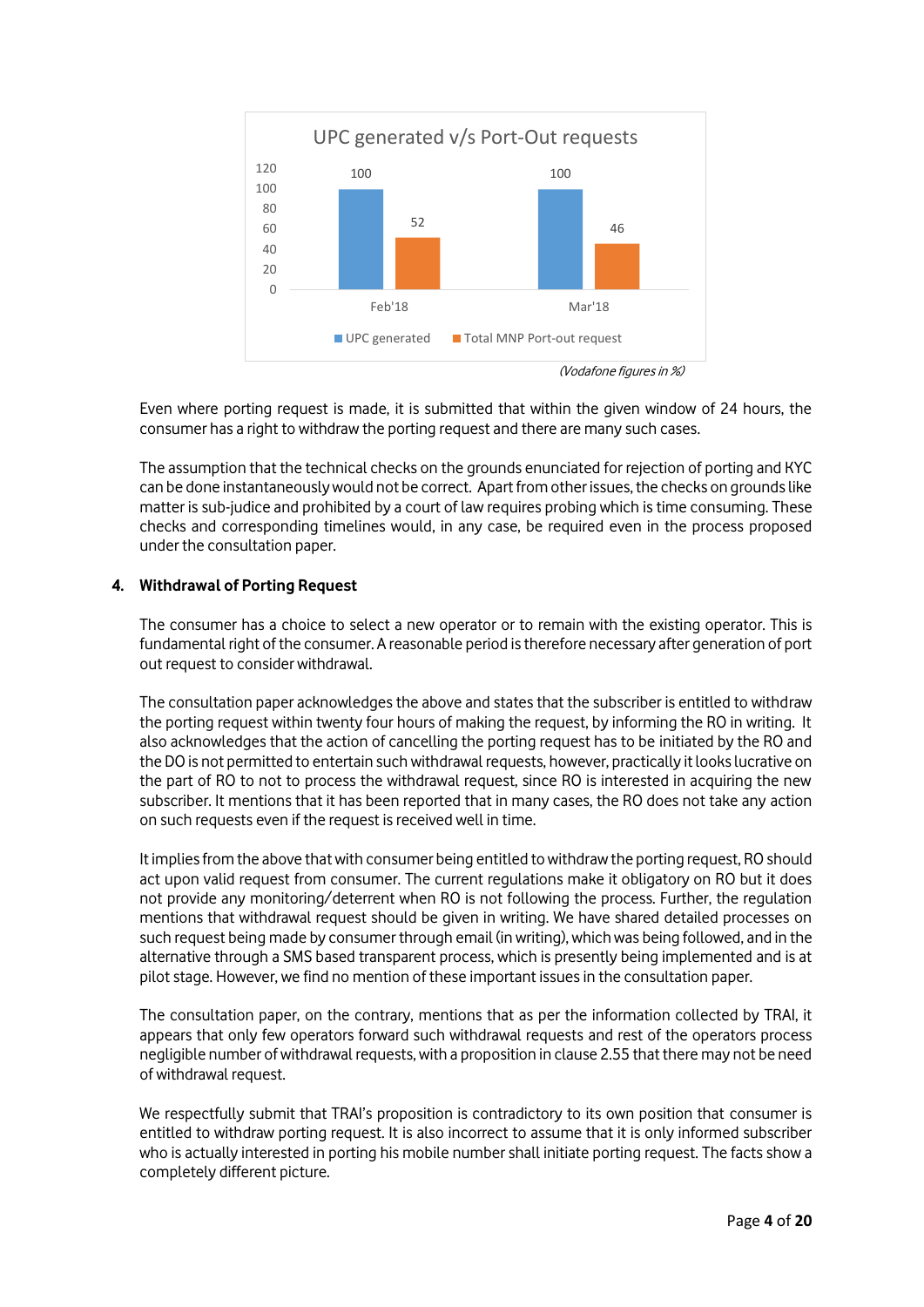

Even where porting request is made, it is submitted that within the given window of 24 hours, the consumer has a right to withdraw the porting request and there are many such cases.

The assumption that the technical checks on the grounds enunciated for rejection of porting and KYC can be done instantaneouslywould not be correct. Apart from other issues, the checks on grounds like matter is sub-judice and prohibited by a court of law requires probing which is time consuming. These checks and corresponding timelines would, in any case, be required even in the process proposed under the consultation paper.

# **4. Withdrawal of Porting Request**

The consumer has a choice to select a new operator or to remain with the existing operator. This is fundamental right of the consumer. A reasonable period is therefore necessary after generation of port out request to consider withdrawal.

The consultation paper acknowledges the above and states that the subscriber is entitled to withdraw the porting request within twenty four hours of making the request, by informing the RO in writing. It also acknowledges that the action of cancelling the porting request has to be initiated by the RO and the DO is not permitted to entertain such withdrawal requests, however, practically it looks lucrative on the part of RO to not to process the withdrawal request, since RO is interested in acquiring the new subscriber. It mentions that it has been reported that in many cases, the RO does not take any action on such requests even if the request is received well in time.

It implies from the above that with consumer being entitled to withdraw the porting request, RO should act upon valid request from consumer. The current regulations make it obligatory on RO but it does not provide any monitoring/deterrent when RO is not following the process. Further, the regulation mentions that withdrawal request should be given in writing. We have shared detailed processes on such request being made by consumer through email (in writing), which was being followed, and in the alternative through a SMS based transparent process, which is presently being implemented and is at pilot stage. However, we find no mention of these important issues in the consultation paper.

The consultation paper, on the contrary, mentions that as per the information collected by TRAI, it appears that only few operators forward such withdrawal requests and rest of the operators process negligible number of withdrawal requests, with a proposition in clause 2.55 that there may not be need of withdrawal request.

We respectfully submit that TRAI's proposition is contradictory to its own position that consumer is entitled to withdraw porting request. It is also incorrect to assume that it is only informed subscriber who is actually interested in porting his mobile number shall initiate porting request. The facts show a completely different picture.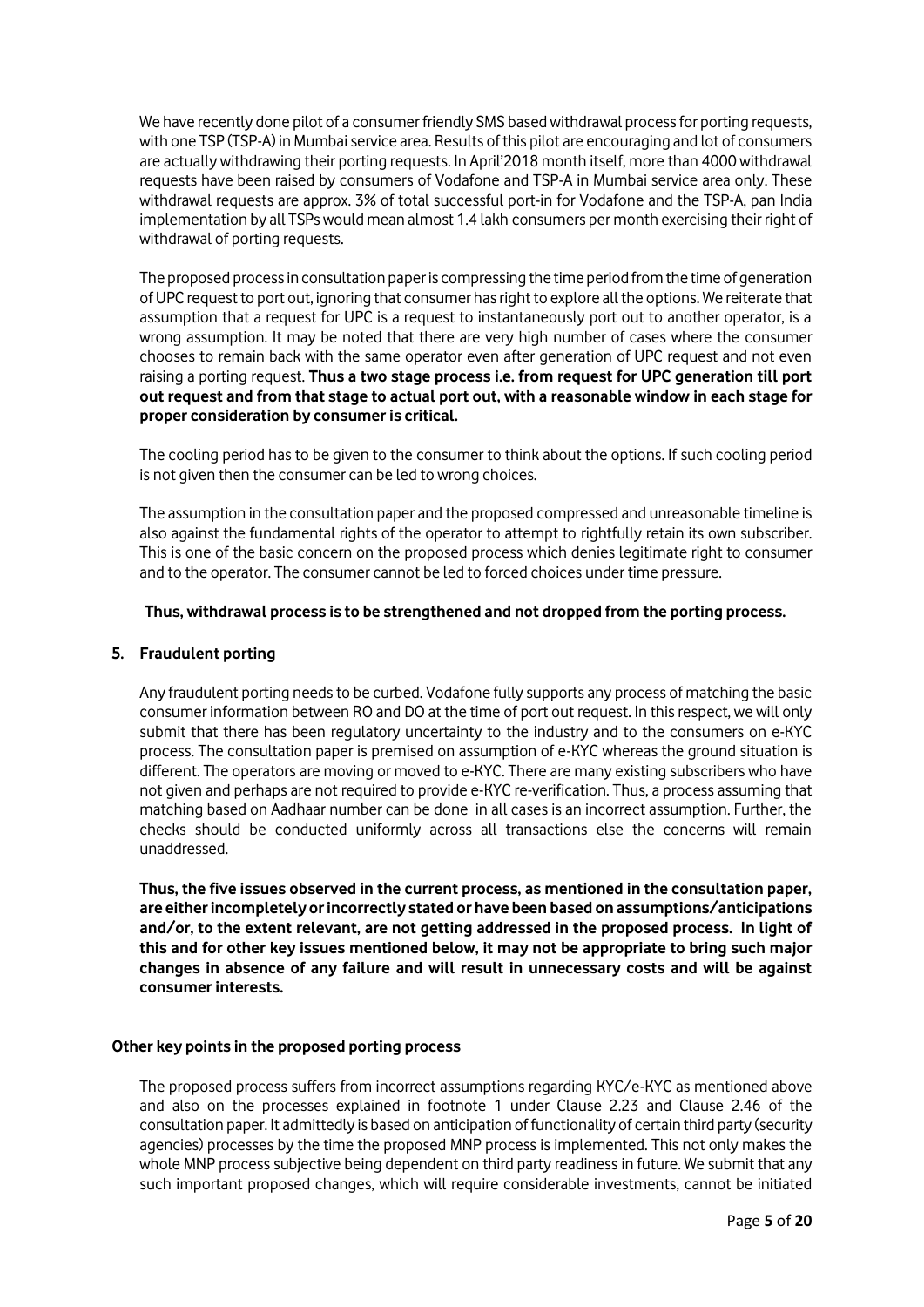We have recently done pilot of a consumer friendly SMS based withdrawal process for porting requests, with one TSP (TSP-A) in Mumbai service area. Results of this pilot are encouraging and lot of consumers are actually withdrawing their porting requests. In April'2018 month itself, more than 4000 withdrawal requests have been raised by consumers of Vodafone and TSP-A in Mumbai service area only. These withdrawal requests are approx. 3% of total successful port-in for Vodafone and the TSP-A, pan India implementation by all TSPs would mean almost 1.4 lakh consumers per month exercising their right of withdrawal of porting requests.

The proposed process in consultation paperis compressing the time period from the time of generation of UPC request to port out, ignoring that consumer has right to explore all the options. We reiterate that assumption that a request for UPC is a request to instantaneously port out to another operator, is a wrong assumption. It may be noted that there are very high number of cases where the consumer chooses to remain back with the same operator even after generation of UPC request and not even raising a porting request. **Thus a two stage process i.e. from request for UPC generation till port out request and from that stage to actual port out, with a reasonable window in each stage for proper consideration by consumer is critical.** 

The cooling period has to be given to the consumer to think about the options. If such cooling period is not given then the consumer can be led to wrong choices.

The assumption in the consultation paper and the proposed compressed and unreasonable timeline is also against the fundamental rights of the operator to attempt to rightfully retain its own subscriber. This is one of the basic concern on the proposed process which denies legitimate right to consumer and to the operator. The consumer cannot be led to forced choices under time pressure.

## **Thus, withdrawal process is to be strengthened and not dropped from the porting process.**

### **5. Fraudulent porting**

Any fraudulent porting needs to be curbed. Vodafone fully supports any process of matching the basic consumer information between RO and DO at the time of port out request. In this respect, we will only submit that there has been regulatory uncertainty to the industry and to the consumers on e-KYC process. The consultation paper is premised on assumption of e-KYC whereas the ground situation is different. The operators are moving or moved to e-KYC. There are many existing subscribers who have not given and perhaps are not required to provide e-KYC re-verification. Thus, a process assuming that matching based on Aadhaar number can be done in all cases is an incorrect assumption. Further, the checks should be conducted uniformly across all transactions else the concerns will remain unaddressed.

**Thus, the five issues observed in the current process, as mentioned in the consultation paper, are either incompletely or incorrectly stated or have been based on assumptions/anticipations and/or, to the extent relevant, are not getting addressed in the proposed process. In light of this and for other key issues mentioned below, it may not be appropriate to bring such major changes in absence of any failure and will result in unnecessary costs and will be against consumer interests.**

### **Other key points in the proposed porting process**

The proposed process suffers from incorrect assumptions regarding KYC/e-KYC as mentioned above and also on the processes explained in footnote 1 under Clause 2.23 and Clause 2.46 of the consultation paper. It admittedly is based on anticipation of functionality of certain third party (security agencies) processes by the time the proposed MNP process is implemented. This not only makes the whole MNP process subjective being dependent on third party readiness in future. We submit that any such important proposed changes, which will require considerable investments, cannot be initiated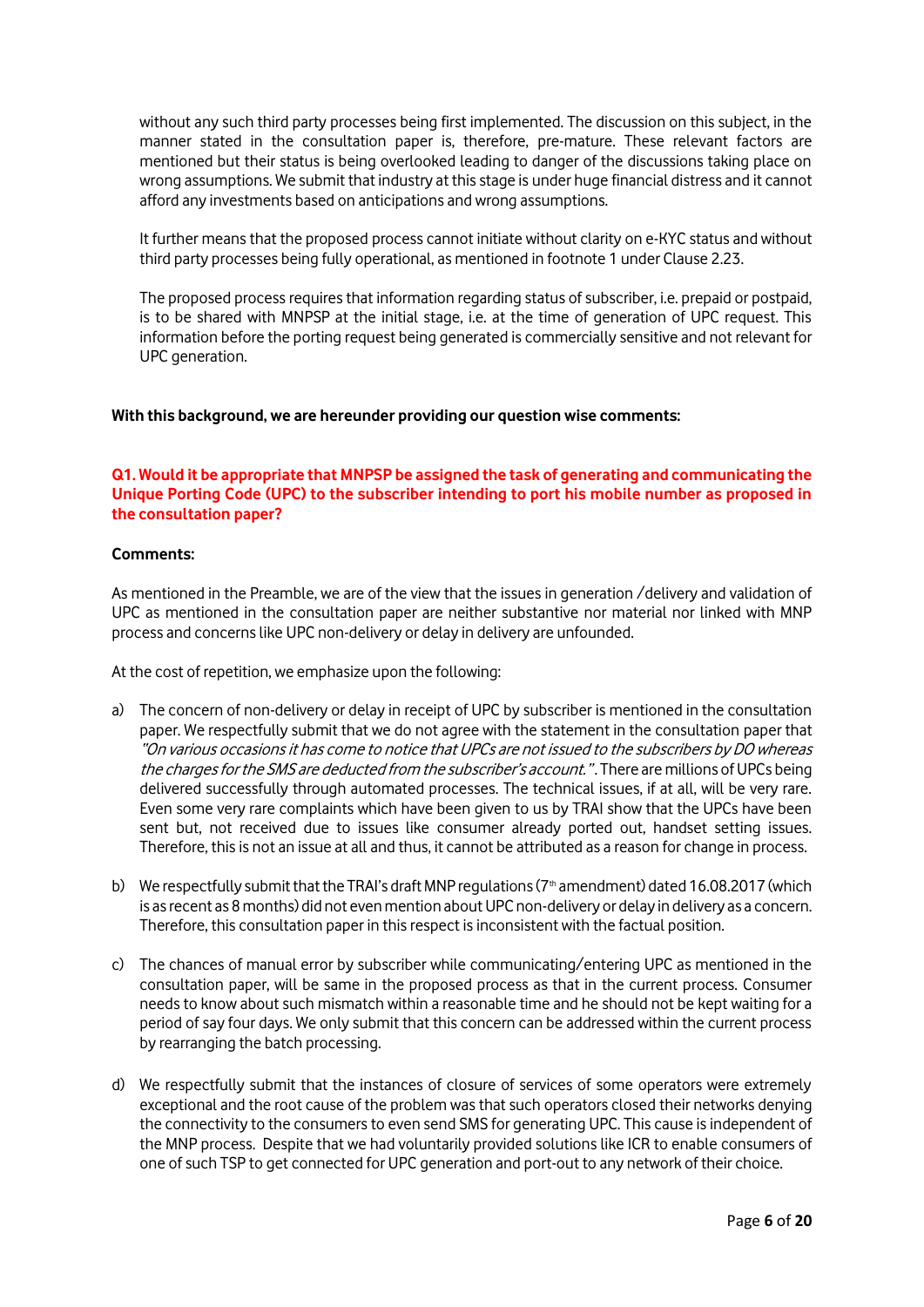without any such third party processes being first implemented. The discussion on this subject, in the manner stated in the consultation paper is, therefore, pre-mature. These relevant factors are mentioned but their status is being overlooked leading to danger of the discussions taking place on wrong assumptions. We submit that industry at this stage is under huge financial distress and it cannot afford any investments based on anticipations and wrong assumptions.

It further means that the proposed process cannot initiate without clarity on e-KYC status and without third party processes being fully operational, as mentioned in footnote 1 under Clause 2.23.

The proposed process requires that information regarding status of subscriber, i.e. prepaid or postpaid, is to be shared with MNPSP at the initial stage, i.e. at the time of generation of UPC request. This information before the porting request being generated is commercially sensitive and not relevant for UPC generation.

### **With this background, we are hereunder providing our question wise comments:**

## **Q1. Would it be appropriate that MNPSP be assigned the task of generating and communicating the Unique Porting Code (UPC) to the subscriber intending to port his mobile number as proposed in the consultation paper?**

### **Comments:**

As mentioned in the Preamble, we are of the view that the issues in generation /delivery and validation of UPC as mentioned in the consultation paper are neither substantive nor material nor linked with MNP process and concerns like UPC non-delivery or delay in delivery are unfounded.

At the cost of repetition, we emphasize upon the following:

- a) The concern of non-delivery or delay in receipt of UPC by subscriber is mentioned in the consultation paper. We respectfully submit that we do not agree with the statement in the consultation paper that "On various occasions it has come to notice that UPCs are not issued to the subscribers by DO whereas the charges for the SMS are deducted from the subscriber's account.". There are millions of UPCs being delivered successfully through automated processes. The technical issues, if at all, will be very rare. Even some very rare complaints which have been given to us by TRAI show that the UPCs have been sent but, not received due to issues like consumer already ported out, handset setting issues. Therefore, this is not an issue at all and thus, it cannot be attributed as a reason for change in process.
- b) We respectfully submit that the TRAI's draft MNP regulations ( $7<sup>th</sup>$  amendment) dated 16.08.2017 (which is as recent as 8 months) did not even mention about UPC non-delivery or delay in delivery as a concern. Therefore, this consultation paper in this respect is inconsistent with the factual position.
- c) The chances of manual error by subscriber while communicating/entering UPC as mentioned in the consultation paper, will be same in the proposed process as that in the current process. Consumer needs to know about such mismatch within a reasonable time and he should not be kept waiting for a period of say four days. We only submit that this concern can be addressed within the current process by rearranging the batch processing.
- d) We respectfully submit that the instances of closure of services of some operators were extremely exceptional and the root cause of the problem was that such operators closed their networks denying the connectivity to the consumers to even send SMS for generating UPC. This cause is independent of the MNP process. Despite that we had voluntarily provided solutions like ICR to enable consumers of one of such TSP to get connected for UPC generation and port-out to any network of their choice.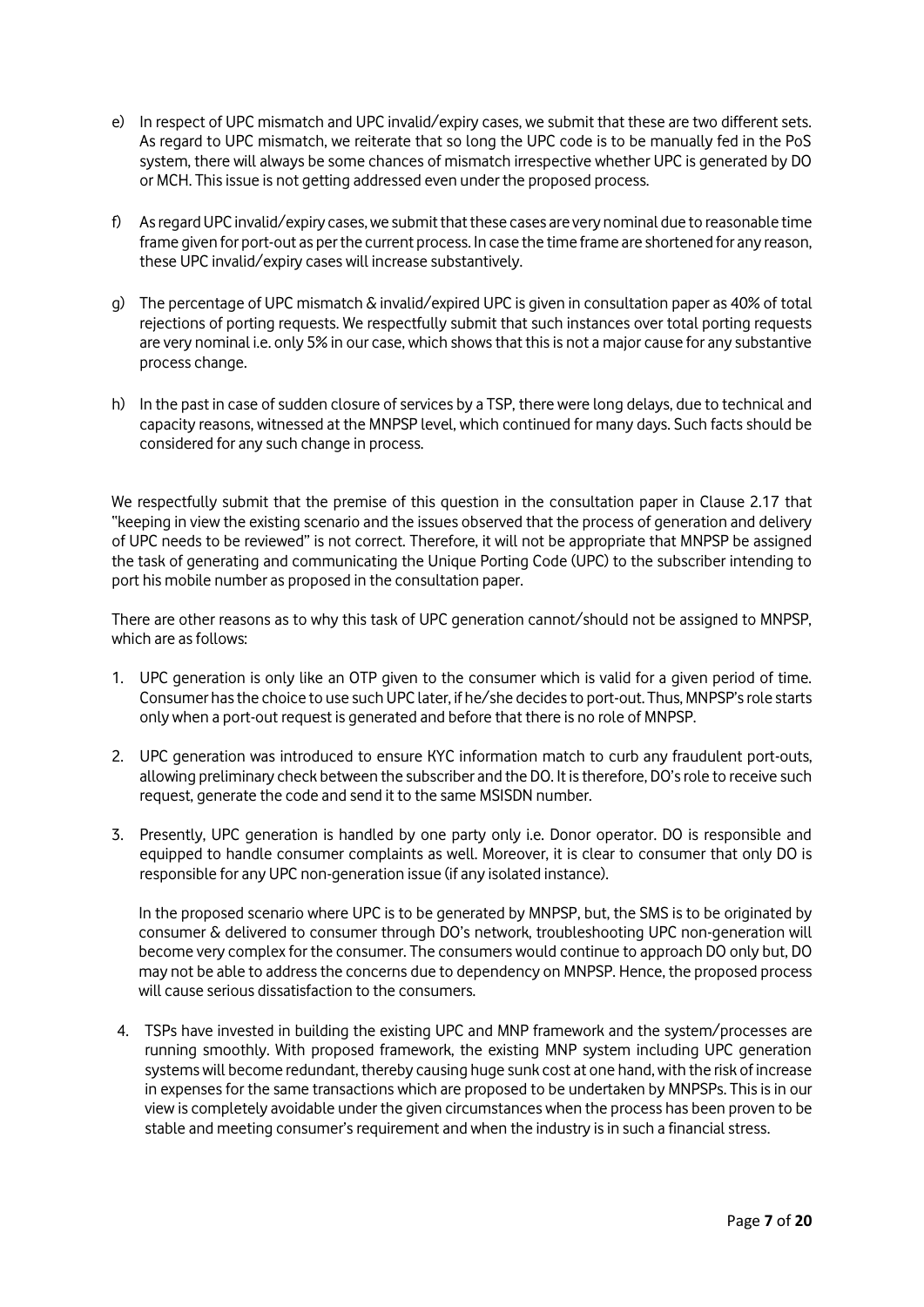- e) In respect of UPC mismatch and UPC invalid/expiry cases, we submit that these are two different sets. As regard to UPC mismatch, we reiterate that so long the UPC code is to be manually fed in the PoS system, there will always be some chances of mismatch irrespective whether UPC is generated by DO or MCH. This issue is not getting addressed even under the proposed process.
- f) As regard UPC invalid/expiry cases, we submit that these cases are very nominal due to reasonable time frame given for port-out as per the current process. In case the time frame are shortened for any reason, these UPC invalid/expiry cases will increase substantively.
- g) The percentage of UPC mismatch & invalid/expired UPC is given in consultation paper as 40% of total rejections of porting requests. We respectfully submit that such instances over total porting requests are very nominal i.e. only 5% in our case, which shows that this is not a major cause for any substantive process change.
- h) In the past in case of sudden closure of services by a TSP, there were long delays, due to technical and capacity reasons, witnessed at the MNPSP level, which continued for many days. Such facts should be considered for any such change in process.

We respectfully submit that the premise of this question in the consultation paper in Clause 2.17 that "keeping in view the existing scenario and the issues observed that the process of generation and delivery of UPC needs to be reviewed" is not correct. Therefore, it will not be appropriate that MNPSP be assigned the task of generating and communicating the Unique Porting Code (UPC) to the subscriber intending to port his mobile number as proposed in the consultation paper.

There are other reasons as to why this task of UPC generation cannot/should not be assigned to MNPSP, which are as follows:

- 1. UPC generation is only like an OTP given to the consumer which is valid for a given period of time. Consumer has the choice to use such UPC later, if he/she decides to port-out. Thus, MNPSP's role starts only when a port-out request is generated and before that there is no role of MNPSP.
- 2. UPC generation was introduced to ensure KYC information match to curb any fraudulent port-outs, allowing preliminary check between the subscriber and the DO. It is therefore, DO's role to receive such request, generate the code and send it to the same MSISDN number.
- 3. Presently, UPC generation is handled by one party only i.e. Donor operator. DO is responsible and equipped to handle consumer complaints as well. Moreover, it is clear to consumer that only DO is responsible for any UPC non-generation issue (if any isolated instance).

In the proposed scenario where UPC is to be generated by MNPSP, but, the SMS is to be originated by consumer & delivered to consumer through DO's network, troubleshooting UPC non-generation will become very complex for the consumer. The consumers would continue to approach DO only but, DO may not be able to address the concerns due to dependency on MNPSP. Hence, the proposed process will cause serious dissatisfaction to the consumers.

4. TSPs have invested in building the existing UPC and MNP framework and the system/processes are running smoothly. With proposed framework, the existing MNP system including UPC generation systems will become redundant, thereby causing huge sunk cost at one hand, with the risk of increase in expenses for the same transactions which are proposed to be undertaken by MNPSPs. This is in our view is completely avoidable under the given circumstances when the process has been proven to be stable and meeting consumer's requirement and when the industry is in such a financial stress.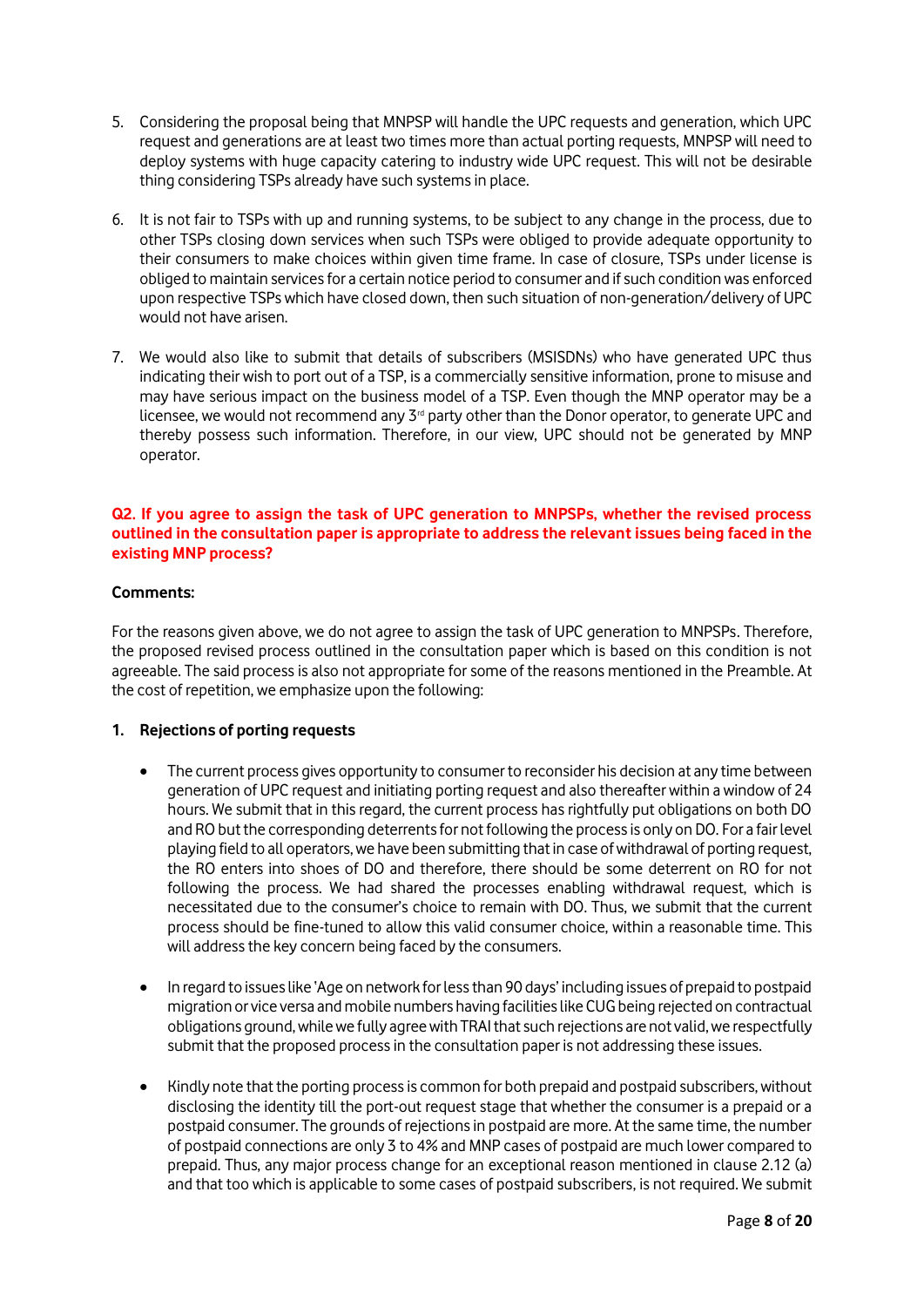- 5. Considering the proposal being that MNPSP will handle the UPC requests and generation, which UPC request and generations are at least two times more than actual porting requests, MNPSP will need to deploy systems with huge capacity catering to industry wide UPC request. This will not be desirable thing considering TSPs already have such systems in place.
- 6. It is not fair to TSPs with up and running systems, to be subject to any change in the process, due to other TSPs closing down services when such TSPs were obliged to provide adequate opportunity to their consumers to make choices within given time frame. In case of closure, TSPs under license is obliged to maintain services for a certain notice period to consumer and if such condition was enforced upon respective TSPs which have closed down, then such situation of non-generation/delivery of UPC would not have arisen.
- 7. We would also like to submit that details of subscribers (MSISDNs) who have generated UPC thus indicating their wish to port out of a TSP, is a commercially sensitive information, prone to misuse and may have serious impact on the business model of a TSP. Even though the MNP operator may be a licensee, we would not recommend any 3<sup>rd</sup> party other than the Donor operator, to generate UPC and thereby possess such information. Therefore, in our view, UPC should not be generated by MNP operator.

## **Q2. If you agree to assign the task of UPC generation to MNPSPs, whether the revised process outlined in the consultation paper is appropriate to address the relevant issues being faced in the existing MNP process?**

# **Comments:**

For the reasons given above, we do not agree to assign the task of UPC generation to MNPSPs. Therefore, the proposed revised process outlined in the consultation paper which is based on this condition is not agreeable. The said process is also not appropriate for some of the reasons mentioned in the Preamble. At the cost of repetition, we emphasize upon the following:

## **1. Rejections of porting requests**

- The current process gives opportunity to consumer to reconsider his decision at any time between generation of UPC request and initiating porting request and also thereafter within a window of 24 hours. We submit that in this regard, the current process has rightfully put obligations on both DO and RO but the corresponding deterrents for not following the process is only on DO. For a fair level playing field to all operators, we have been submitting that in case of withdrawal of porting request, the RO enters into shoes of DO and therefore, there should be some deterrent on RO for not following the process. We had shared the processes enabling withdrawal request, which is necessitated due to the consumer's choice to remain with DO. Thus, we submit that the current process should be fine-tuned to allow this valid consumer choice, within a reasonable time. This will address the key concern being faced by the consumers.
- In regard to issues like 'Age on network for less than 90 days' including issues of prepaid to postpaid migration or vice versa and mobile numbers having facilities like CUG being rejected on contractual obligations ground, while we fully agree with TRAI that such rejections are not valid, we respectfully submit that the proposed process in the consultation paper is not addressing these issues.
- Kindly note that the porting process is common for both prepaid and postpaid subscribers, without disclosing the identity till the port-out request stage that whether the consumer is a prepaid or a postpaid consumer. The grounds of rejections in postpaid are more. At the same time, the number of postpaid connections are only 3 to 4% and MNP cases of postpaid are much lower compared to prepaid. Thus, any major process change for an exceptional reason mentioned in clause 2.12 (a) and that too which is applicable to some cases of postpaid subscribers, is not required. We submit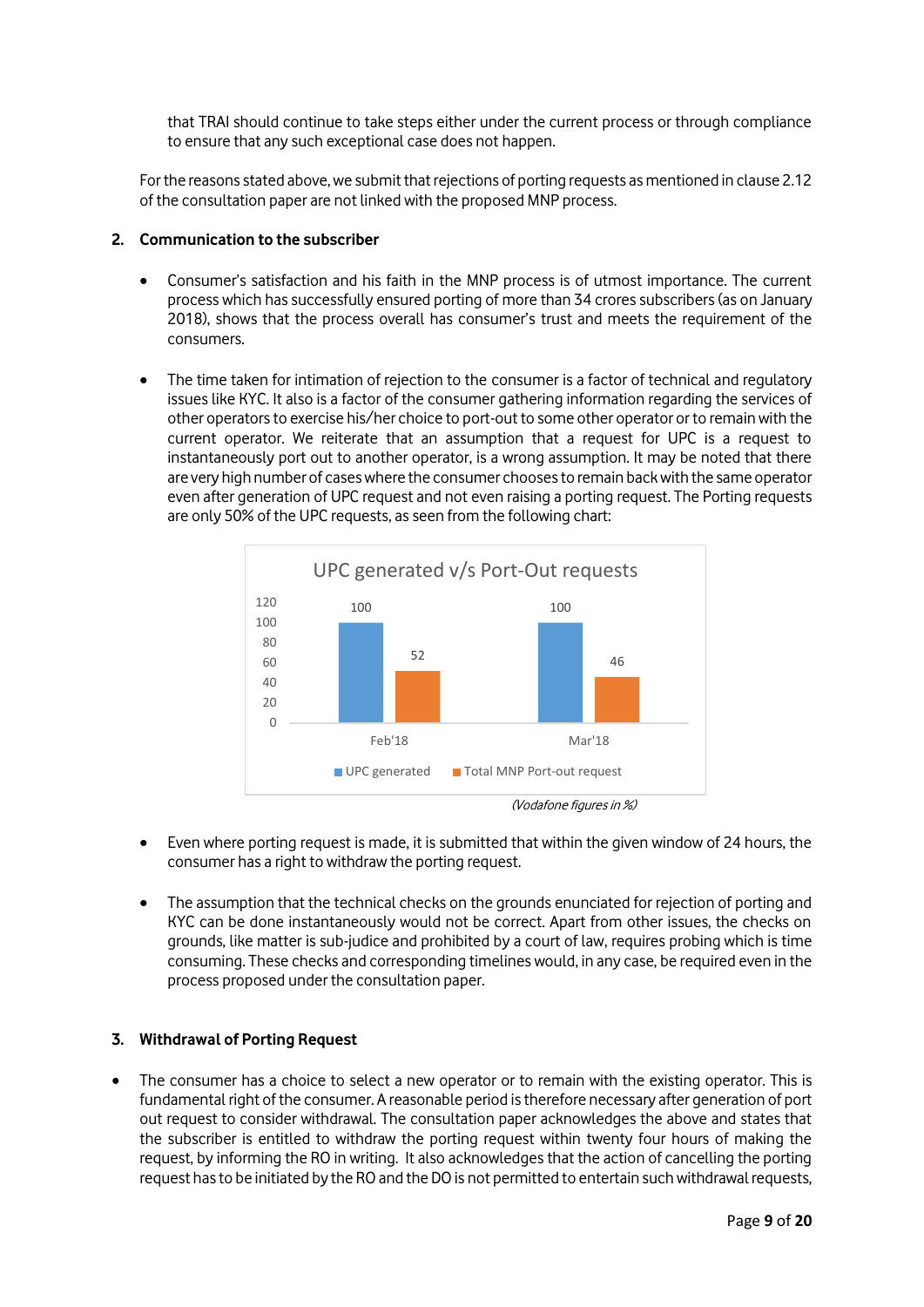that TRAI should continue to take steps either under the current process or through compliance to ensure that any such exceptional case does not happen.

For the reasons stated above, we submit that rejections of porting requests as mentioned in clause 2.12 of the consultation paper are not linked with the proposed MNP process.

## **2. Communication to the subscriber**

- Consumer's satisfaction and his faith in the MNP process is of utmost importance. The current process which has successfully ensured porting of more than 34 croressubscribers (as on January 2018), shows that the process overall has consumer's trust and meets the requirement of the consumers.
- The time taken for intimation of rejection to the consumer is a factor of technical and regulatory issues like KYC. It also is a factor of the consumer gathering information regarding the services of other operators to exercise his/her choice to port-out to some other operator or to remain with the current operator. We reiterate that an assumption that a request for UPC is a request to instantaneously port out to another operator, is a wrong assumption. It may be noted that there are very high number of cases where the consumer chooses to remain back with the same operator even after generation of UPC request and not even raising a porting request. The Porting requests are only 50% of the UPC requests, as seen from the following chart:



- 
- Even where porting request is made, it is submitted that within the given window of 24 hours, the consumer has a right to withdraw the porting request.
- The assumption that the technical checks on the grounds enunciated for rejection of porting and KYC can be done instantaneously would not be correct. Apart from other issues, the checks on grounds, like matter is sub-judice and prohibited by a court of law, requires probing which is time consuming. These checks and corresponding timelines would, in any case, be required even in the process proposed under the consultation paper.

## **3. Withdrawal of Porting Request**

 The consumer has a choice to select a new operator or to remain with the existing operator. This is fundamental right of the consumer. A reasonable period is therefore necessary after generation of port out request to consider withdrawal. The consultation paper acknowledges the above and states that the subscriber is entitled to withdraw the porting request within twenty four hours of making the request, by informing the RO in writing. It also acknowledges that the action of cancelling the porting request has to be initiated by the RO and the DO is not permitted to entertain such withdrawal requests,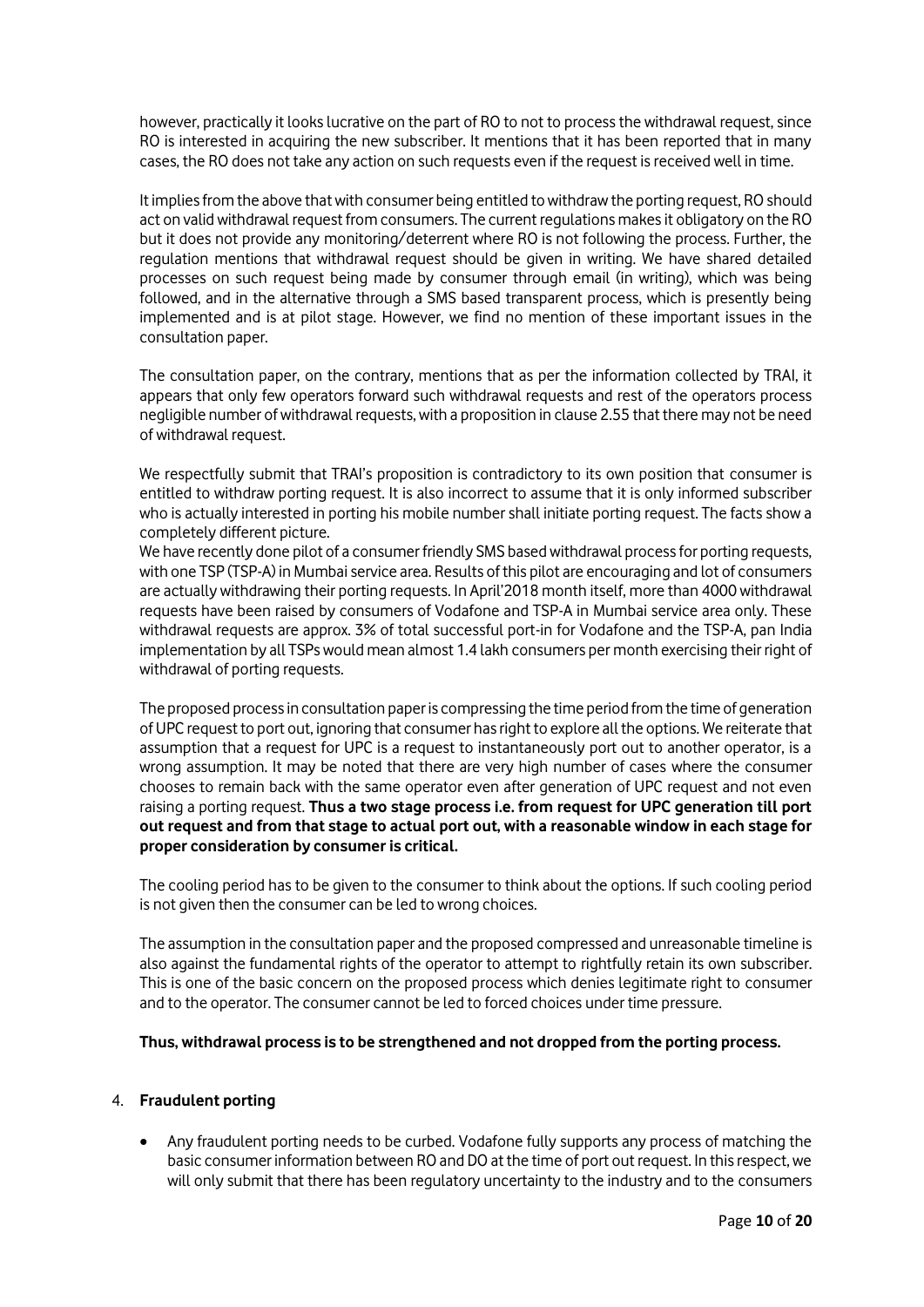however, practically it looks lucrative on the part of RO to not to process the withdrawal request, since RO is interested in acquiring the new subscriber. It mentions that it has been reported that in many cases, the RO does not take any action on such requests even if the request is received well in time.

It implies from the above that with consumer being entitled to withdraw the porting request, RO should act on valid withdrawal request from consumers. The current regulations makes it obligatory on the RO but it does not provide any monitoring/deterrent where RO is not following the process. Further, the regulation mentions that withdrawal request should be given in writing. We have shared detailed processes on such request being made by consumer through email (in writing), which was being followed, and in the alternative through a SMS based transparent process, which is presently being implemented and is at pilot stage. However, we find no mention of these important issues in the consultation paper.

The consultation paper, on the contrary, mentions that as per the information collected by TRAI, it appears that only few operators forward such withdrawal requests and rest of the operators process negligible number of withdrawal requests, with a proposition in clause 2.55 that there may not be need of withdrawal request.

We respectfully submit that TRAI's proposition is contradictory to its own position that consumer is entitled to withdraw porting request. It is also incorrect to assume that it is only informed subscriber who is actually interested in porting his mobile number shall initiate porting request. The facts show a completely different picture.

We have recently done pilot of a consumer friendly SMS based withdrawal process for porting requests, with one TSP (TSP-A) in Mumbai service area. Results of this pilot are encouraging and lot of consumers are actually withdrawing their porting requests. In April'2018 month itself, more than 4000 withdrawal requests have been raised by consumers of Vodafone and TSP-A in Mumbai service area only. These withdrawal requests are approx. 3% of total successful port-in for Vodafone and the TSP-A, pan India implementation by all TSPs would mean almost 1.4 lakh consumers per month exercising their right of withdrawal of porting requests.

The proposed process in consultation paper is compressing the time period from the time of generation of UPC request to port out, ignoring that consumer has right to explore all the options. We reiterate that assumption that a request for UPC is a request to instantaneously port out to another operator, is a wrong assumption. It may be noted that there are very high number of cases where the consumer chooses to remain back with the same operator even after generation of UPC request and not even raising a porting request. **Thus a two stage process i.e. from request for UPC generation till port out request and from that stage to actual port out, with a reasonable window in each stage for proper consideration by consumer is critical.** 

The cooling period has to be given to the consumer to think about the options. If such cooling period is not given then the consumer can be led to wrong choices.

The assumption in the consultation paper and the proposed compressed and unreasonable timeline is also against the fundamental rights of the operator to attempt to rightfully retain its own subscriber. This is one of the basic concern on the proposed process which denies legitimate right to consumer and to the operator. The consumer cannot be led to forced choices under time pressure.

## **Thus, withdrawal process is to be strengthened and not dropped from the porting process.**

## 4. **Fraudulent porting**

 Any fraudulent porting needs to be curbed. Vodafone fully supports any process of matching the basic consumer information between RO and DO at the time of port out request. In this respect, we will only submit that there has been regulatory uncertainty to the industry and to the consumers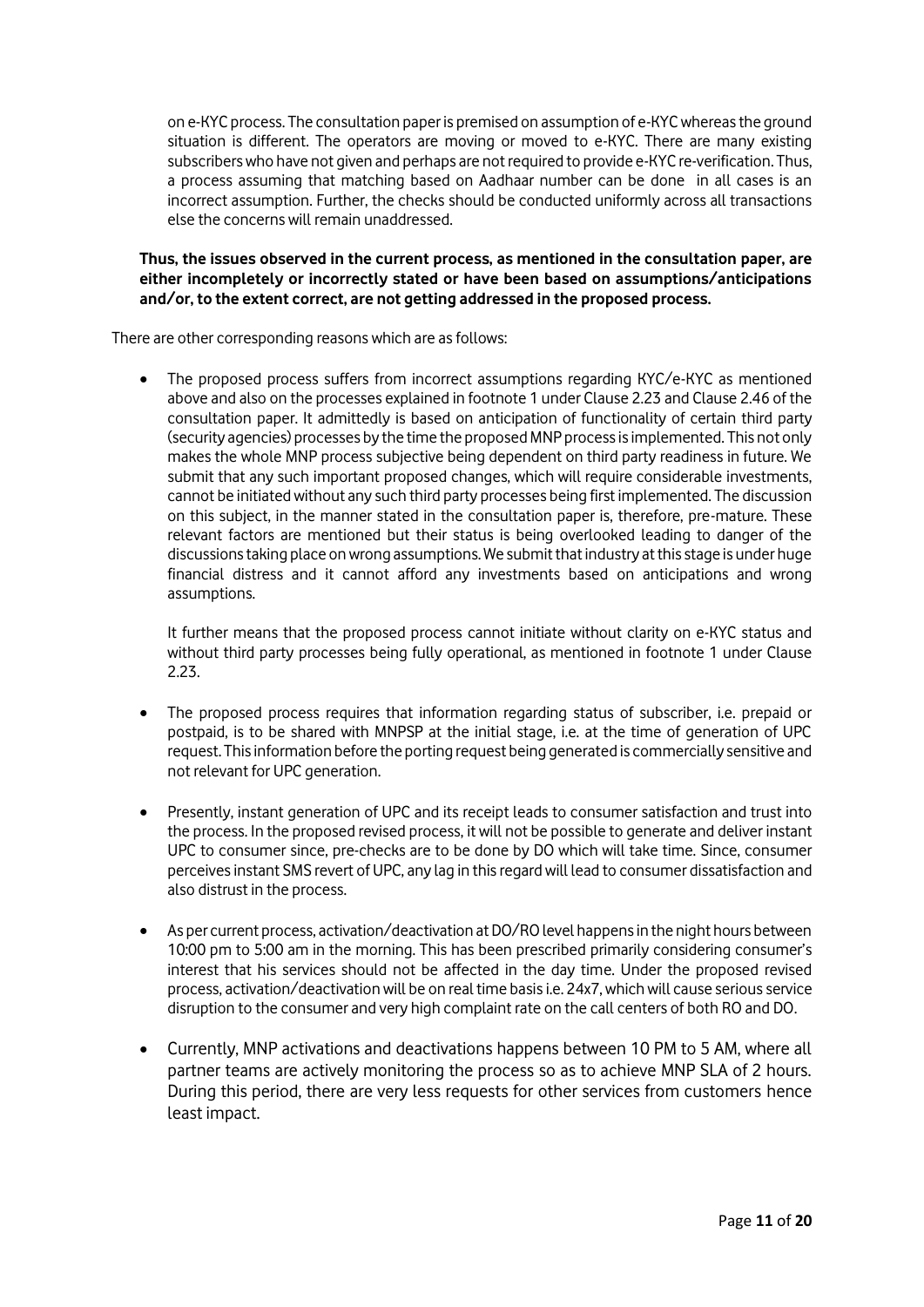on e-KYC process. The consultation paper is premised on assumption of e-KYCwhereas the ground situation is different. The operators are moving or moved to e-KYC. There are many existing subscribers who have not given and perhaps are not required to provide e-KYC re-verification. Thus, a process assuming that matching based on Aadhaar number can be done in all cases is an incorrect assumption. Further, the checks should be conducted uniformly across all transactions else the concerns will remain unaddressed.

## **Thus, the issues observed in the current process, as mentioned in the consultation paper, are either incompletely or incorrectly stated or have been based on assumptions/anticipations and/or, to the extent correct, are not getting addressed in the proposed process.**

There are other corresponding reasons which are as follows:

 The proposed process suffers from incorrect assumptions regarding KYC/e-KYC as mentioned above and also on the processes explained in footnote 1 under Clause 2.23 and Clause 2.46 of the consultation paper. It admittedly is based on anticipation of functionality of certain third party (security agencies) processes by the time the proposed MNP process is implemented. This not only makes the whole MNP process subjective being dependent on third party readiness in future. We submit that any such important proposed changes, which will require considerable investments, cannot be initiated without any such third party processes being first implemented. The discussion on this subject, in the manner stated in the consultation paper is, therefore, pre-mature. These relevant factors are mentioned but their status is being overlooked leading to danger of the discussions taking place on wrong assumptions. We submit that industry at this stage is under huge financial distress and it cannot afford any investments based on anticipations and wrong assumptions.

It further means that the proposed process cannot initiate without clarity on e-KYC status and without third party processes being fully operational, as mentioned in footnote 1 under Clause 2.23.

- The proposed process requires that information regarding status of subscriber, i.e. prepaid or postpaid, is to be shared with MNPSP at the initial stage, i.e. at the time of generation of UPC request. This information before the porting request being generated is commercially sensitive and not relevant for UPC generation.
- Presently, instant generation of UPC and its receipt leads to consumer satisfaction and trust into the process. In the proposed revised process, it will not be possible to generate and deliver instant UPC to consumer since, pre-checks are to be done by DO which will take time. Since, consumer perceives instant SMS revert of UPC, any lag in this regard will lead to consumer dissatisfaction and also distrust in the process.
- As per current process, activation/deactivation at DO/RO level happens in the night hours between 10:00 pm to 5:00 am in the morning. This has been prescribed primarily considering consumer's interest that his services should not be affected in the day time. Under the proposed revised process, activation/deactivation will be on real time basis i.e. 24x7, which will cause serious service disruption to the consumer and very high complaint rate on the call centers of both RO and DO.
- Currently, MNP activations and deactivations happens between 10 PM to 5 AM, where all partner teams are actively monitoring the process so as to achieve MNP SLA of 2 hours. During this period, there are very less requests for other services from customers hence least impact.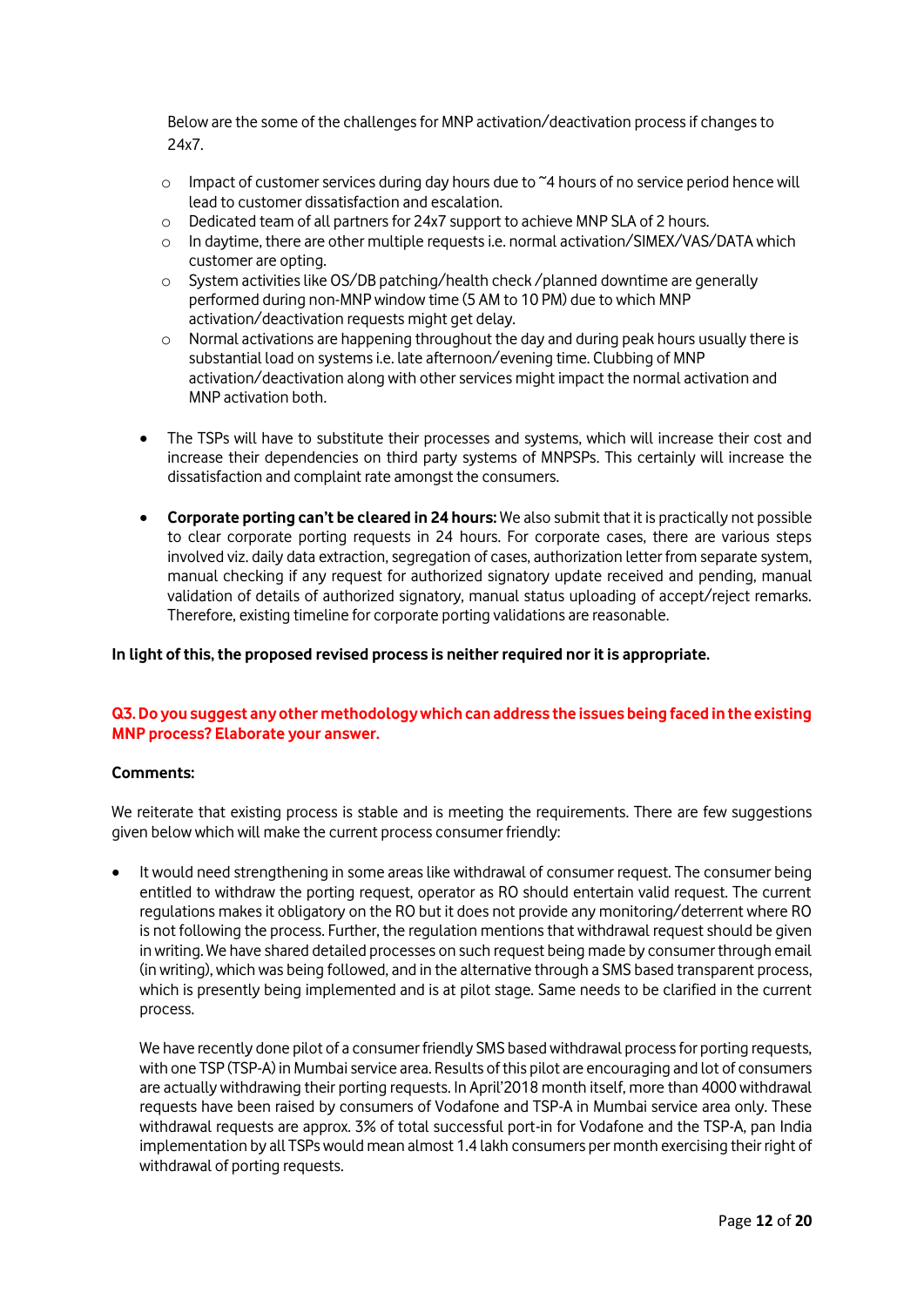Below are the some of the challenges for MNP activation/deactivation process if changes to 24x7.

- $\circ$  Impact of customer services during day hours due to  $\sim$ 4 hours of no service period hence will lead to customer dissatisfaction and escalation.
- o Dedicated team of all partners for 24x7 support to achieve MNP SLA of 2 hours.
- o In daytime, there are other multiple requests i.e. normal activation/SIMEX/VAS/DATA which customer are opting.
- o System activities like OS/DB patching/health check /planned downtime are generally performed during non-MNP window time (5 AM to 10 PM) due to which MNP activation/deactivation requests might get delay.
- $\circ$  Normal activations are happening throughout the day and during peak hours usually there is substantial load on systems i.e. late afternoon/evening time. Clubbing of MNP activation/deactivation along with other services might impact the normal activation and MNP activation both.
- The TSPs will have to substitute their processes and systems, which will increase their cost and increase their dependencies on third party systems of MNPSPs. This certainly will increase the dissatisfaction and complaint rate amongst the consumers.
- **Corporate porting can't be cleared in 24 hours:** We also submit that it is practically not possible to clear corporate porting requests in 24 hours. For corporate cases, there are various steps involved viz. daily data extraction, segregation of cases, authorization letter from separate system, manual checking if any request for authorized signatory update received and pending, manual validation of details of authorized signatory, manual status uploading of accept/reject remarks. Therefore, existing timeline for corporate porting validations are reasonable.

## **In light of this, the proposed revised process is neither required nor it is appropriate.**

# **Q3. Do you suggest any other methodology which can address the issues being faced in the existing MNP process? Elaborate your answer.**

## **Comments:**

We reiterate that existing process is stable and is meeting the requirements. There are few suggestions given below which will make the current process consumer friendly:

 It would need strengthening in some areas like withdrawal of consumer request. The consumer being entitled to withdraw the porting request, operator as RO should entertain valid request. The current regulations makes it obligatory on the RO but it does not provide any monitoring/deterrent where RO is not following the process. Further, the regulation mentions that withdrawal request should be given in writing. We have shared detailed processes on such request being made by consumer through email (in writing), which was being followed, and in the alternative through a SMS based transparent process, which is presently being implemented and is at pilot stage. Same needs to be clarified in the current process.

We have recently done pilot of a consumer friendly SMS based withdrawal process for porting requests, with one TSP (TSP-A) in Mumbai service area. Results of this pilot are encouraging and lot of consumers are actually withdrawing their porting requests. In April'2018 month itself, more than 4000 withdrawal requests have been raised by consumers of Vodafone and TSP-A in Mumbai service area only. These withdrawal requests are approx. 3% of total successful port-in for Vodafone and the TSP-A, pan India implementation by all TSPs would mean almost 1.4 lakh consumers per month exercising their right of withdrawal of porting requests.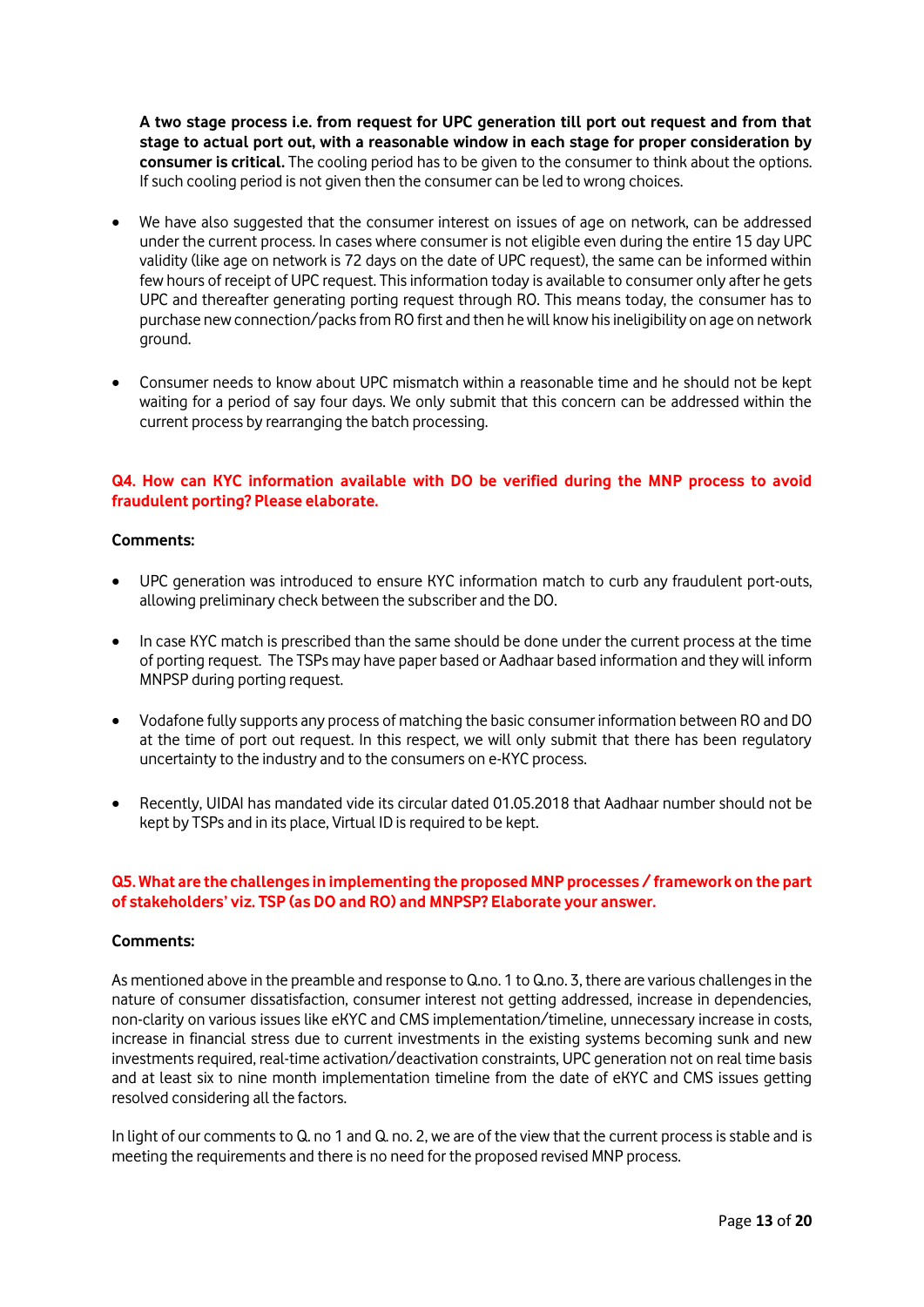**A two stage process i.e. from request for UPC generation till port out request and from that stage to actual port out, with a reasonable window in each stage for proper consideration by consumer is critical.** The cooling period has to be given to the consumer to think about the options. If such cooling period is not given then the consumer can be led to wrong choices.

- We have also suggested that the consumer interest on issues of age on network, can be addressed under the current process. In cases where consumer is not eligible even during the entire 15 day UPC validity (like age on network is 72 days on the date of UPC request), the same can be informed within few hours of receipt of UPC request. This information today is available to consumer only after he gets UPC and thereafter generating porting request through RO. This means today, the consumer has to purchase new connection/packs from RO first and then he will know his ineligibility on age on network ground.
- Consumer needs to know about UPC mismatch within a reasonable time and he should not be kept waiting for a period of say four days. We only submit that this concern can be addressed within the current process by rearranging the batch processing.

# **Q4. How can KYC information available with DO be verified during the MNP process to avoid fraudulent porting? Please elaborate.**

### **Comments:**

- UPC generation was introduced to ensure KYC information match to curb any fraudulent port-outs, allowing preliminary check between the subscriber and the DO.
- In case KYC match is prescribed than the same should be done under the current process at the time of porting request. The TSPs may have paper based or Aadhaar based information and they will inform MNPSP during porting request.
- Vodafone fully supports any process of matching the basic consumer information between RO and DO at the time of port out request. In this respect, we will only submit that there has been regulatory uncertainty to the industry and to the consumers on e-KYC process.
- Recently, UIDAI has mandated vide its circular dated 01.05.2018 that Aadhaar number should not be kept by TSPs and in its place, Virtual ID is required to be kept.

## **Q5. What are the challenges in implementing the proposed MNP processes / framework on the part of stakeholders' viz. TSP (as DO and RO) and MNPSP? Elaborate your answer.**

#### **Comments:**

As mentioned above in the preamble and response to Q.no. 1 to Q.no. 3, there are various challenges in the nature of consumer dissatisfaction, consumer interest not getting addressed, increase in dependencies, non-clarity on various issues like eKYC and CMS implementation/timeline, unnecessary increase in costs, increase in financial stress due to current investments in the existing systems becoming sunk and new investments required, real-time activation/deactivation constraints, UPC generation not on real time basis and at least six to nine month implementation timeline from the date of eKYC and CMS issues getting resolved considering all the factors.

In light of our comments to Q. no 1 and Q. no. 2, we are of the view that the current process is stable and is meeting the requirements and there is no need for the proposed revised MNP process.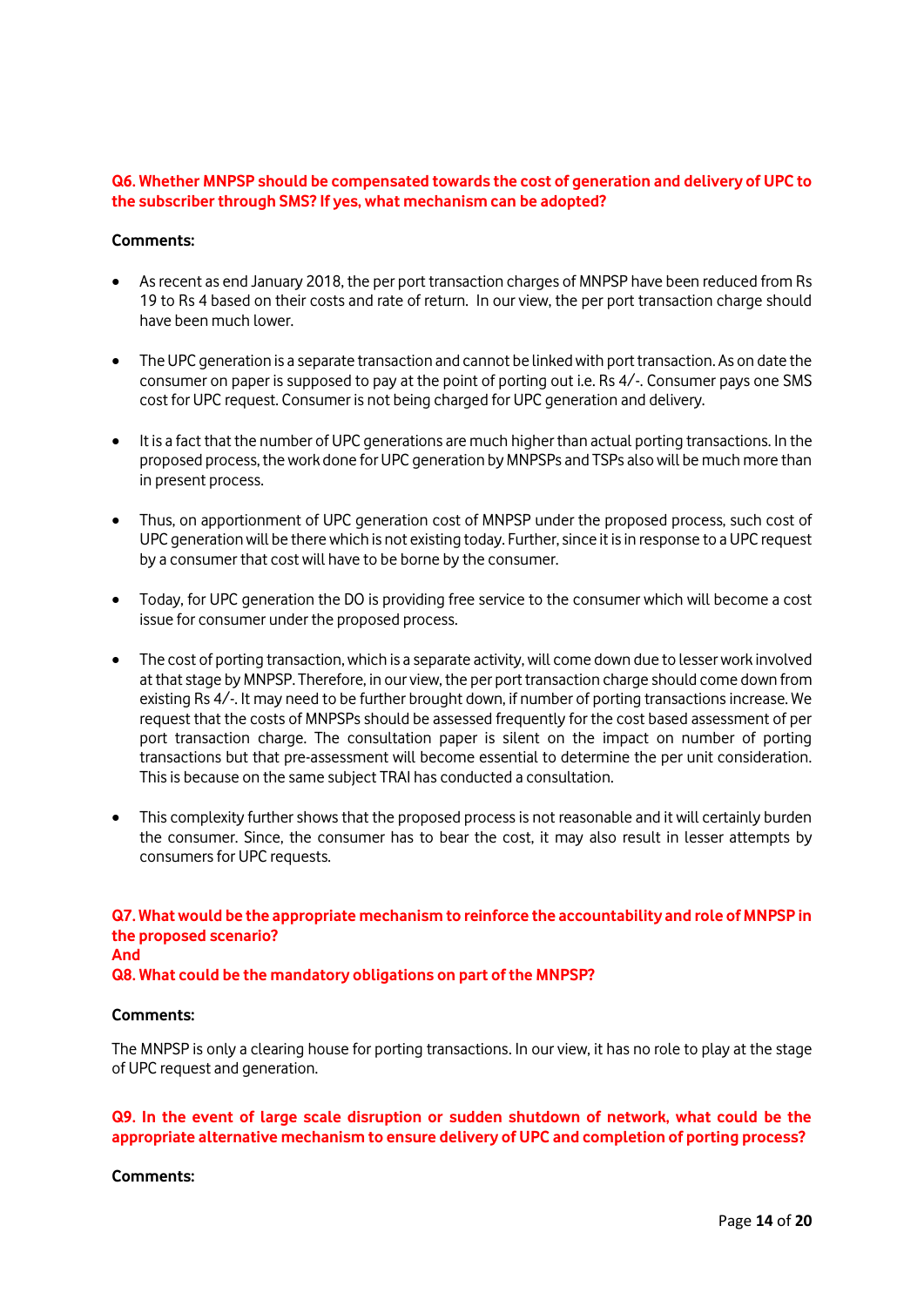## **Q6. Whether MNPSP should be compensated towards the cost of generation and delivery of UPC to the subscriber through SMS? If yes, what mechanism can be adopted?**

#### **Comments:**

- As recent as end January 2018, the per port transaction charges of MNPSP have been reduced from Rs 19 to Rs 4 based on their costs and rate of return. In our view, the per port transaction charge should have been much lower.
- The UPC generation is a separate transaction and cannot be linked with port transaction. As on date the consumer on paper is supposed to pay at the point of porting out i.e. Rs 4/-. Consumer pays one SMS cost for UPC request. Consumer is not being charged for UPC generation and delivery.
- It is a fact that the number of UPC generations are much higher than actual porting transactions. In the proposed process, the work done for UPC generation by MNPSPs and TSPs also will be much more than in present process.
- Thus, on apportionment of UPC generation cost of MNPSP under the proposed process, such cost of UPC generationwill be there which is not existing today. Further, since it is in response to a UPC request by a consumer that cost will have to be borne by the consumer.
- Today, for UPC generation the DO is providing free service to the consumer which will become a cost issue for consumer under the proposed process.
- The cost of porting transaction, which is a separate activity, will come down due to lesser work involved at that stage by MNPSP. Therefore, in our view, the per port transaction charge should come down from existing Rs 4/-. It may need to be further brought down, if number of porting transactions increase. We request that the costs of MNPSPs should be assessed frequently for the cost based assessment of per port transaction charge. The consultation paper is silent on the impact on number of porting transactions but that pre-assessment will become essential to determine the per unit consideration. This is because on the same subject TRAI has conducted a consultation.
- This complexity further shows that the proposed process is not reasonable and it will certainly burden the consumer. Since, the consumer has to bear the cost, it may also result in lesser attempts by consumers for UPC requests.

**Q7. What would be the appropriate mechanism to reinforce the accountability and role of MNPSP in the proposed scenario? And Q8. What could be the mandatory obligations on part of the MNPSP?**

#### **Comments:**

The MNPSP is only a clearing house for porting transactions. In our view, it has no role to play at the stage of UPC request and generation.

# **Q9. In the event of large scale disruption or sudden shutdown of network, what could be the appropriate alternative mechanism to ensure delivery of UPC and completion of porting process?**

#### **Comments:**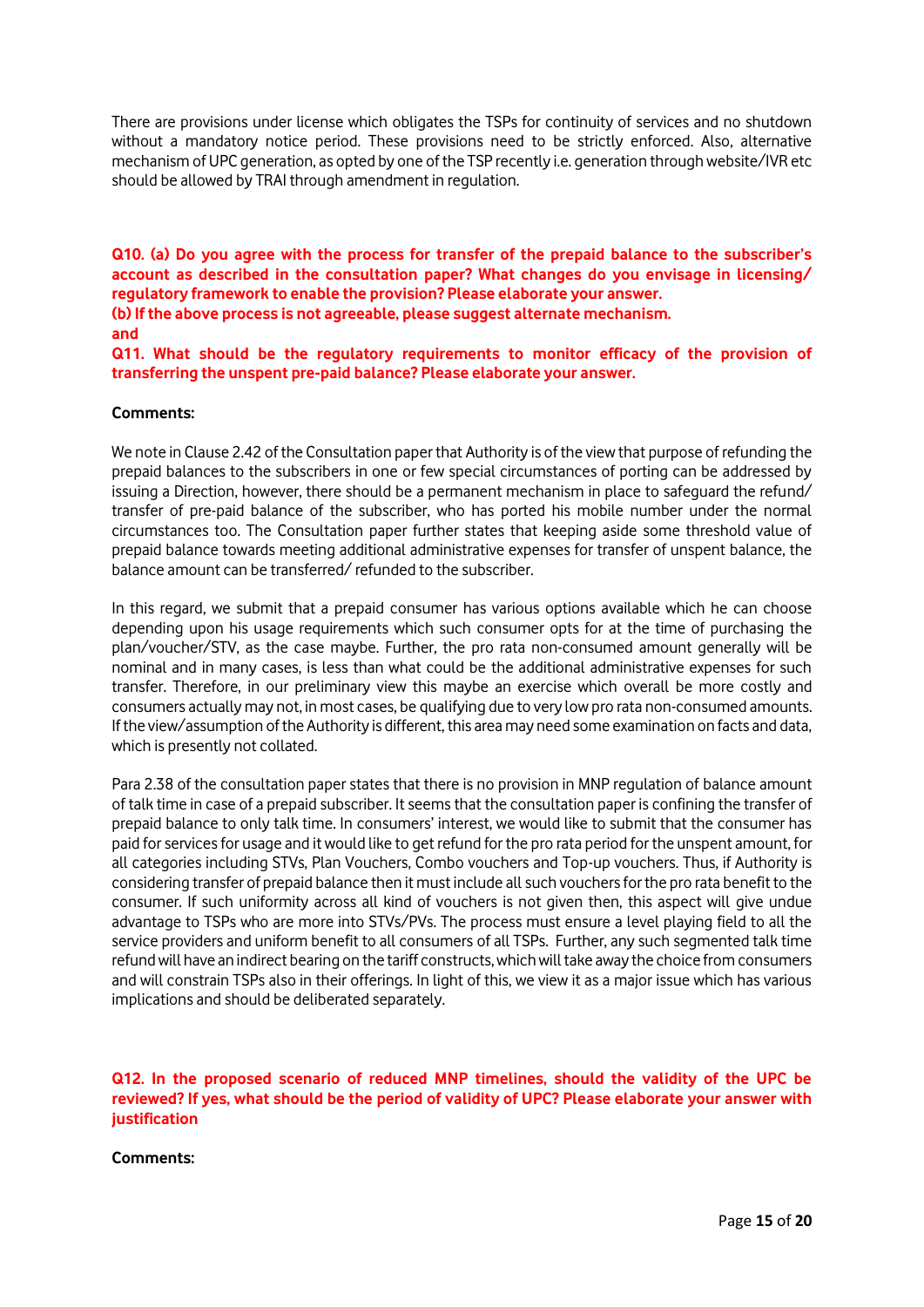There are provisions under license which obligates the TSPs for continuity of services and no shutdown without a mandatory notice period. These provisions need to be strictly enforced. Also, alternative mechanism of UPC generation, as opted by one of the TSP recently i.e. generation through website/IVR etc should be allowed by TRAI through amendment in regulation.

**Q10. (a) Do you agree with the process for transfer of the prepaid balance to the subscriber's account as described in the consultation paper? What changes do you envisage in licensing/ regulatory framework to enable the provision? Please elaborate your answer.** 

**(b) If the above process is not agreeable, please suggest alternate mechanism.** 

#### **and**

**Q11. What should be the regulatory requirements to monitor efficacy of the provision of transferring the unspent pre-paid balance? Please elaborate your answer.** 

## **Comments:**

We note in Clause 2.42 of the Consultation paper that Authority is of the view that purpose of refunding the prepaid balances to the subscribers in one or few special circumstances of porting can be addressed by issuing a Direction, however, there should be a permanent mechanism in place to safeguard the refund/ transfer of pre-paid balance of the subscriber, who has ported his mobile number under the normal circumstances too. The Consultation paper further states that keeping aside some threshold value of prepaid balance towards meeting additional administrative expenses for transfer of unspent balance, the balance amount can be transferred/ refunded to the subscriber.

In this regard, we submit that a prepaid consumer has various options available which he can choose depending upon his usage requirements which such consumer opts for at the time of purchasing the plan/voucher/STV, as the case maybe. Further, the pro rata non-consumed amount generally will be nominal and in many cases, is less than what could be the additional administrative expenses for such transfer. Therefore, in our preliminary view this maybe an exercise which overall be more costly and consumers actually may not, in most cases, be qualifying due to very low pro rata non-consumed amounts. If the view/assumption of the Authority is different, this area may need some examination on facts and data, which is presently not collated.

Para 2.38 of the consultation paper states that there is no provision in MNP regulation of balance amount of talk time in case of a prepaid subscriber. It seems that the consultation paper is confining the transfer of prepaid balance to only talk time. In consumers' interest, we would like to submit that the consumer has paid for services for usage and it would like to get refund for the pro rata period for the unspent amount, for all categories including STVs, Plan Vouchers, Combo vouchers and Top-up vouchers. Thus, if Authority is considering transfer of prepaid balance then it must include allsuch vouchersfor the pro rata benefit to the consumer. If such uniformity across all kind of vouchers is not given then, this aspect will give undue advantage to TSPs who are more into STVs/PVs. The process must ensure a level playing field to all the service providers and uniform benefit to all consumers of all TSPs. Further, any such segmented talk time refund will have an indirect bearing on the tariff constructs, which will take away the choice from consumers and will constrain TSPs also in their offerings. In light of this, we view it as a major issue which has various implications and should be deliberated separately.

**Q12. In the proposed scenario of reduced MNP timelines, should the validity of the UPC be reviewed? If yes, what should be the period of validity of UPC? Please elaborate your answer with justification**

#### **Comments:**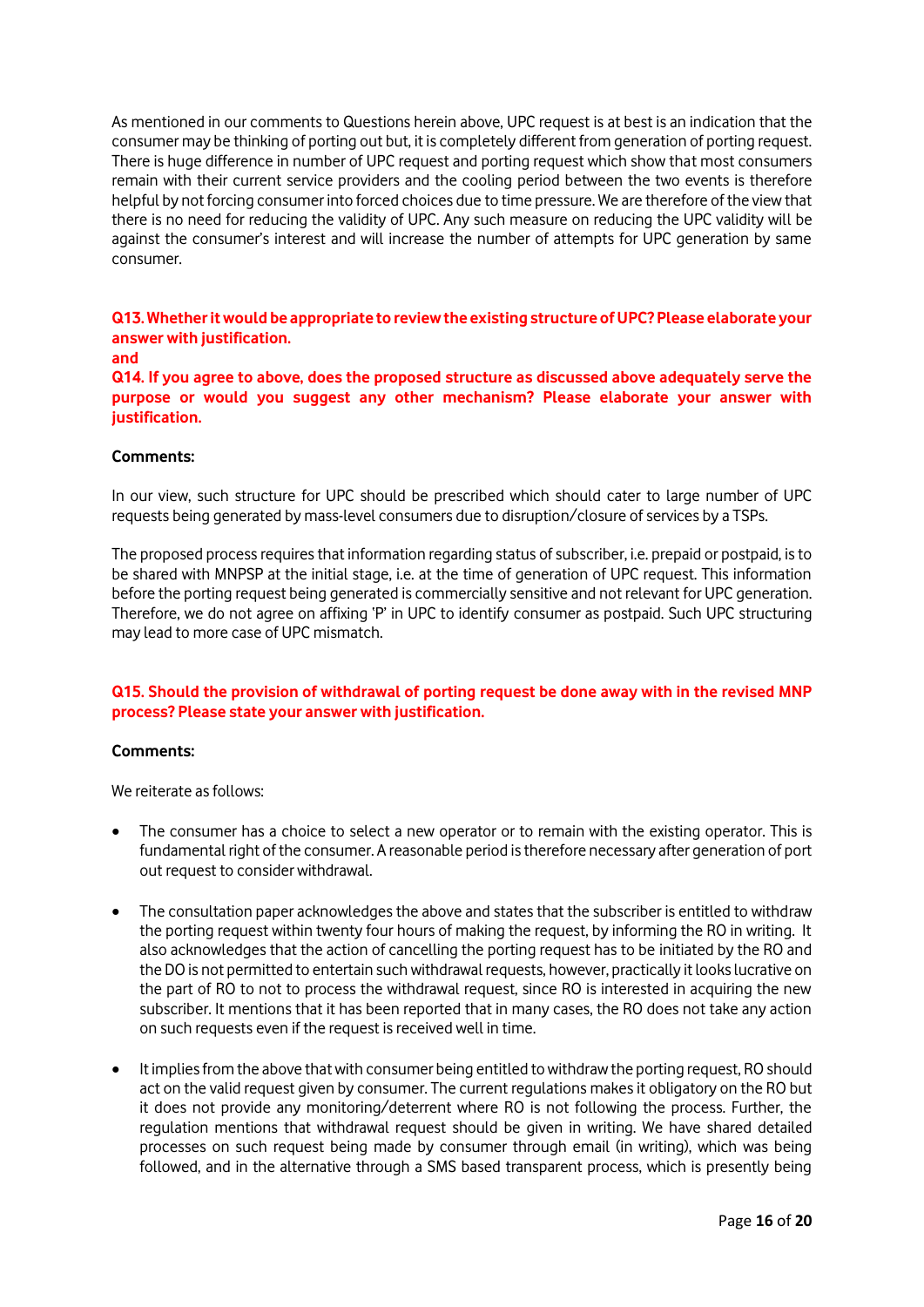As mentioned in our comments to Questions herein above, UPC request is at best is an indication that the consumer may be thinking of porting out but, it is completely different from generation of porting request. There is huge difference in number of UPC request and porting request which show that most consumers remain with their current service providers and the cooling period between the two events is therefore helpful by not forcing consumer into forced choices due to time pressure. We are therefore of the view that there is no need for reducing the validity of UPC. Any such measure on reducing the UPC validity will be against the consumer's interest and will increase the number of attempts for UPC generation by same consumer.

**Q13. Whether it would be appropriate to review the existing structure of UPC? Please elaborate your answer with justification.** 

#### **and**

**Q14. If you agree to above, does the proposed structure as discussed above adequately serve the purpose or would you suggest any other mechanism? Please elaborate your answer with justification.** 

#### **Comments:**

In our view, such structure for UPC should be prescribed which should cater to large number of UPC requests being generated by mass-level consumers due to disruption/closure of services by a TSPs.

The proposed process requires that information regarding status of subscriber, i.e. prepaid or postpaid, is to be shared with MNPSP at the initial stage, i.e. at the time of generation of UPC request. This information before the porting request being generated is commercially sensitive and not relevant for UPC generation. Therefore, we do not agree on affixing 'P' in UPC to identify consumer as postpaid. Such UPC structuring may lead to more case of UPC mismatch.

## **Q15. Should the provision of withdrawal of porting request be done away with in the revised MNP process? Please state your answer with justification.**

#### **Comments:**

We reiterate as follows:

- The consumer has a choice to select a new operator or to remain with the existing operator. This is fundamental right of the consumer. A reasonable period is therefore necessary after generation of port out request to consider withdrawal.
- The consultation paper acknowledges the above and states that the subscriber is entitled to withdraw the porting request within twenty four hours of making the request, by informing the RO in writing. It also acknowledges that the action of cancelling the porting request has to be initiated by the RO and the DO is not permitted to entertain such withdrawal requests, however, practically it looks lucrative on the part of RO to not to process the withdrawal request, since RO is interested in acquiring the new subscriber. It mentions that it has been reported that in many cases, the RO does not take any action on such requests even if the request is received well in time.
- It implies from the above that with consumer being entitled to withdraw the porting request, RO should act on the valid request given by consumer. The current regulations makes it obligatory on the RO but it does not provide any monitoring/deterrent where RO is not following the process. Further, the regulation mentions that withdrawal request should be given in writing. We have shared detailed processes on such request being made by consumer through email (in writing), which was being followed, and in the alternative through a SMS based transparent process, which is presently being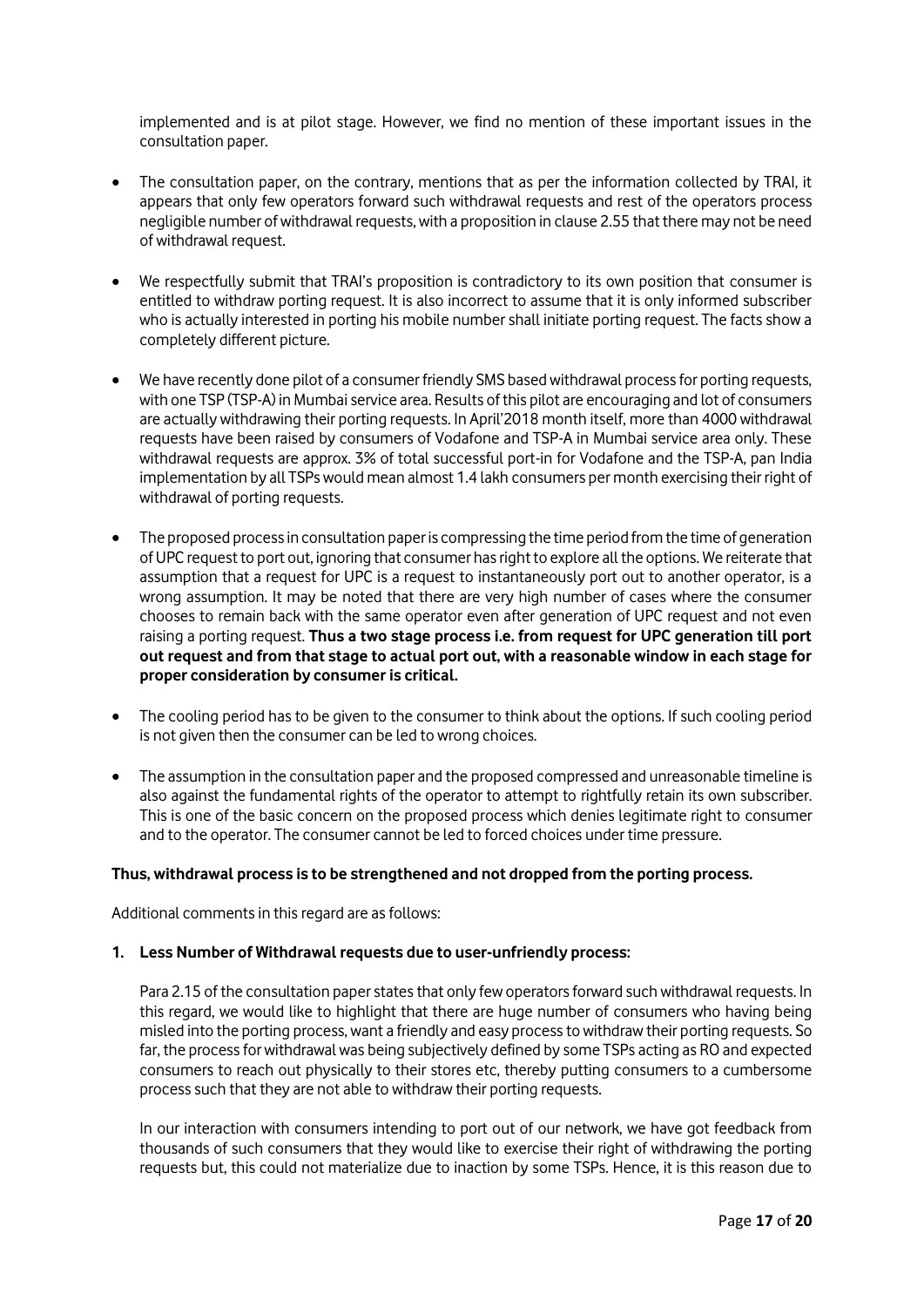implemented and is at pilot stage. However, we find no mention of these important issues in the consultation paper.

- The consultation paper, on the contrary, mentions that as per the information collected by TRAI, it appears that only few operators forward such withdrawal requests and rest of the operators process negligible number of withdrawal requests, with a proposition in clause 2.55 that there may not be need of withdrawal request.
- We respectfully submit that TRAI's proposition is contradictory to its own position that consumer is entitled to withdraw porting request. It is also incorrect to assume that it is only informed subscriber who is actually interested in porting his mobile number shall initiate porting request. The facts show a completely different picture.
- We have recently done pilot of a consumer friendly SMS based withdrawal process for porting requests, with one TSP (TSP-A) in Mumbai service area. Results of this pilot are encouraging and lot of consumers are actually withdrawing their porting requests. In April'2018 month itself, more than 4000 withdrawal requests have been raised by consumers of Vodafone and TSP-A in Mumbai service area only. These withdrawal requests are approx. 3% of total successful port-in for Vodafone and the TSP-A, pan India implementation by all TSPs would mean almost 1.4 lakh consumers per month exercising their right of withdrawal of porting requests.
- The proposed process in consultation paper is compressing the time period from the time of generation of UPC request to port out, ignoring that consumer has right to explore all the options. We reiterate that assumption that a request for UPC is a request to instantaneously port out to another operator, is a wrong assumption. It may be noted that there are very high number of cases where the consumer chooses to remain back with the same operator even after generation of UPC request and not even raising a porting request. **Thus a two stage process i.e. from request for UPC generation till port out request and from that stage to actual port out, with a reasonable window in each stage for proper consideration by consumer is critical.**
- The cooling period has to be given to the consumer to think about the options. If such cooling period is not given then the consumer can be led to wrong choices.
- The assumption in the consultation paper and the proposed compressed and unreasonable timeline is also against the fundamental rights of the operator to attempt to rightfully retain its own subscriber. This is one of the basic concern on the proposed process which denies legitimate right to consumer and to the operator. The consumer cannot be led to forced choices under time pressure.

## **Thus, withdrawal process is to be strengthened and not dropped from the porting process.**

Additional comments in this regard are as follows:

## **1. Less Number of Withdrawal requests due to user-unfriendly process:**

Para 2.15 of the consultation paper states that only few operators forward such withdrawal requests. In this regard, we would like to highlight that there are huge number of consumers who having being misled into the porting process, want a friendly and easy process to withdraw their porting requests. So far, the process for withdrawal was being subjectively defined by some TSPs acting as RO and expected consumers to reach out physically to their stores etc, thereby putting consumers to a cumbersome process such that they are not able to withdraw their porting requests.

In our interaction with consumers intending to port out of our network, we have got feedback from thousands of such consumers that they would like to exercise their right of withdrawing the porting requests but, this could not materialize due to inaction by some TSPs. Hence, it is this reason due to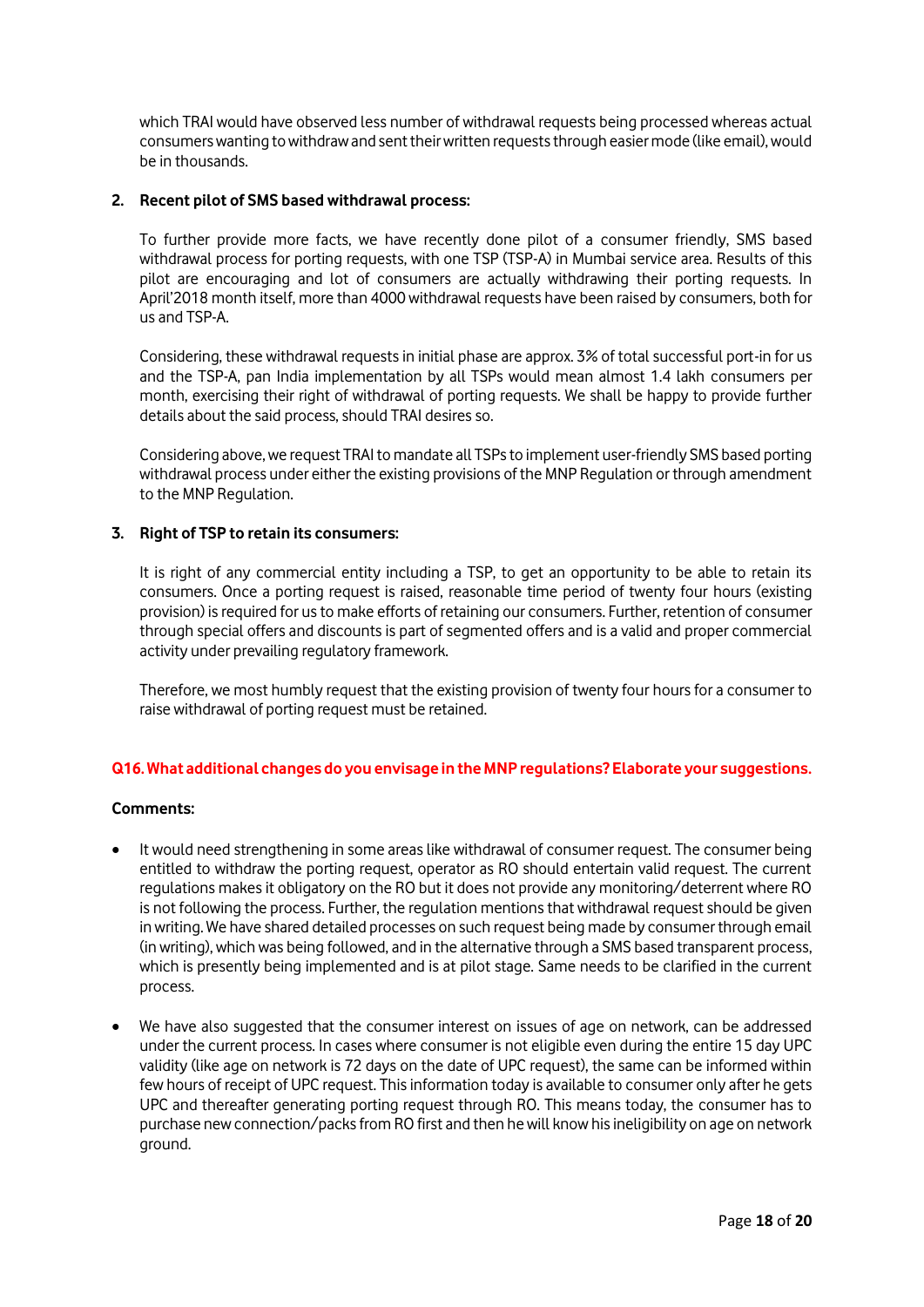which TRAI would have observed less number of withdrawal requests being processed whereas actual consumers wanting to withdraw and sent their written requests through easier mode (like email), would be in thousands.

## **2. Recent pilot of SMS based withdrawal process:**

To further provide more facts, we have recently done pilot of a consumer friendly, SMS based withdrawal process for porting requests, with one TSP (TSP-A) in Mumbai service area. Results of this pilot are encouraging and lot of consumers are actually withdrawing their porting requests. In April'2018 month itself, more than 4000 withdrawal requests have been raised by consumers, both for us and TSP-A.

Considering, these withdrawal requests in initial phase are approx. 3% of total successful port-in for us and the TSP-A, pan India implementation by all TSPs would mean almost 1.4 lakh consumers per month, exercising their right of withdrawal of porting requests. We shall be happy to provide further details about the said process, should TRAI desires so.

Considering above, we request TRAI to mandate all TSPs to implement user-friendly SMS based porting withdrawal process under either the existing provisions of the MNP Regulation or through amendment to the MNP Regulation.

# **3. Right of TSP to retain its consumers:**

It is right of any commercial entity including a TSP, to get an opportunity to be able to retain its consumers. Once a porting request is raised, reasonable time period of twenty four hours (existing provision) is required for us to make efforts of retaining our consumers. Further, retention of consumer through special offers and discounts is part of segmented offers and is a valid and proper commercial activity under prevailing regulatory framework.

Therefore, we most humbly request that the existing provision of twenty four hours for a consumer to raise withdrawal of porting request must be retained.

## **Q16. What additional changes do you envisage in the MNP regulations? Elaborate your suggestions.**

# **Comments:**

- It would need strengthening in some areas like withdrawal of consumer request. The consumer being entitled to withdraw the porting request, operator as RO should entertain valid request. The current regulations makes it obligatory on the RO but it does not provide any monitoring/deterrent where RO is not following the process. Further, the regulation mentions that withdrawal request should be given in writing. We have shared detailed processes on such request being made by consumer through email (in writing), which was being followed, and in the alternative through a SMS based transparent process, which is presently being implemented and is at pilot stage. Same needs to be clarified in the current process.
- We have also suggested that the consumer interest on issues of age on network, can be addressed under the current process. In cases where consumer is not eligible even during the entire 15 day UPC validity (like age on network is 72 days on the date of UPC request), the same can be informed within few hours of receipt of UPC request. This information today is available to consumer only after he gets UPC and thereafter generating porting request through RO. This means today, the consumer has to purchase new connection/packs from RO first and then he will know his ineligibility on age on network ground.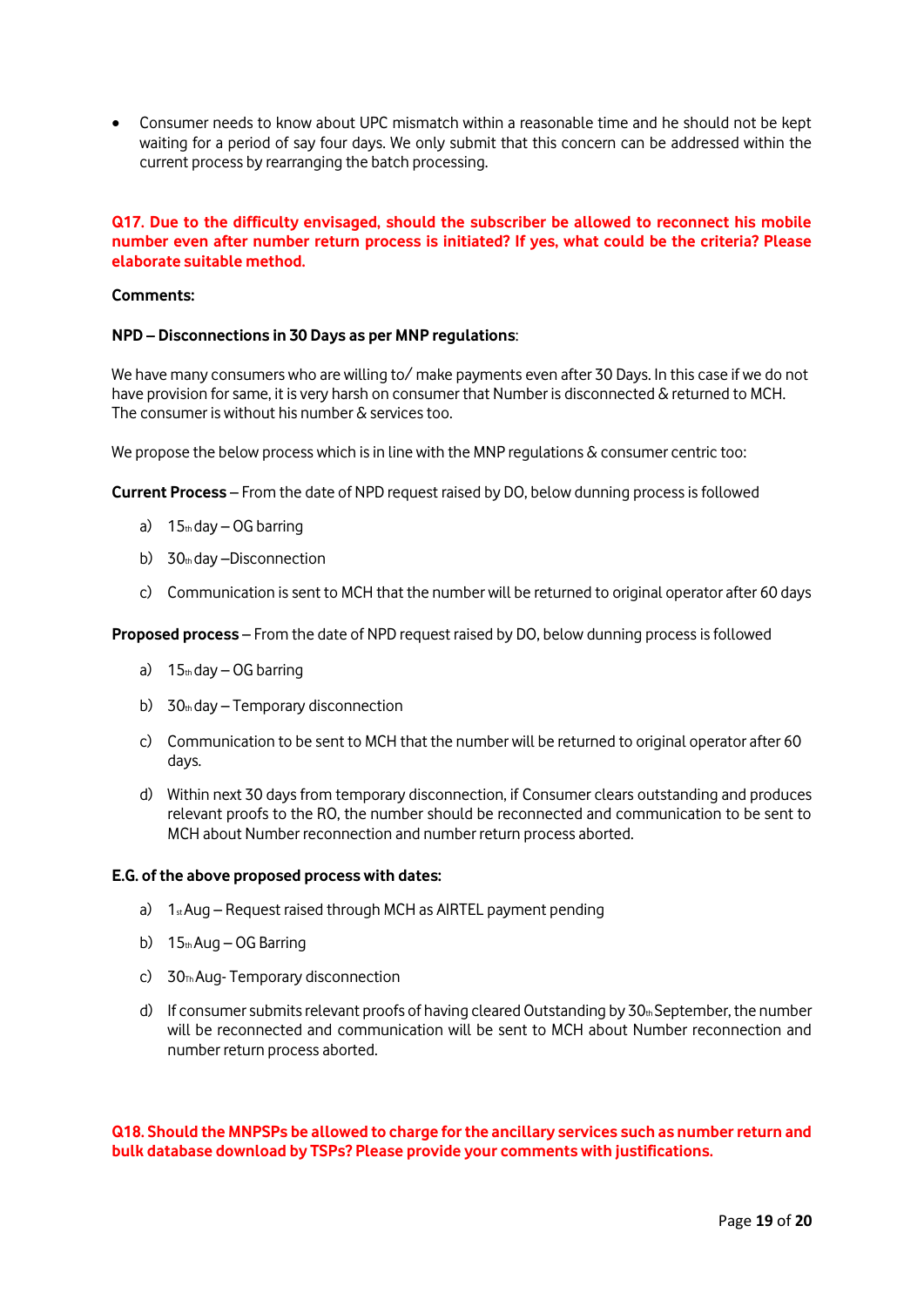Consumer needs to know about UPC mismatch within a reasonable time and he should not be kept waiting for a period of say four days. We only submit that this concern can be addressed within the current process by rearranging the batch processing.

# **Q17. Due to the difficulty envisaged, should the subscriber be allowed to reconnect his mobile number even after number return process is initiated? If yes, what could be the criteria? Please elaborate suitable method.**

### **Comments:**

### **NPD – Disconnections in 30 Days as per MNP regulations**:

We have many consumers who are willing to/make payments even after 30 Days. In this case if we do not have provision for same, it is very harsh on consumer that Number is disconnected & returned to MCH. The consumer is without his number & services too.

We propose the below process which is in line with the MNP regulations & consumer centric too:

**Current Process** – From the date of NPD request raised by DO, below dunning process is followed

- a)  $15<sub>th</sub>$  day  $-$  OG barring
- b) 30th day –Disconnection
- c) Communication is sent to MCH that the number will be returned to original operator after 60 days

**Proposed process** – From the date of NPD request raised by DO, below dunning process is followed

- a)  $15<sub>th</sub>$  day OG barring
- b)  $30<sub>th</sub>$  day Temporary disconnection
- c) Communication to be sent to MCH that the number will be returned to original operator after 60 days.
- d) Within next 30 days from temporary disconnection, if Consumer clears outstanding and produces relevant proofs to the RO, the number should be reconnected and communication to be sent to MCH about Number reconnection and number return process aborted.

#### **E.G. of the above proposed process with dates:**

- a)  $1<sub>st</sub> Aug Request raised through MCH as AIRTEL payment pending$
- b)  $15<sub>th</sub> Aug OG Barring$
- c)  $30<sub>Th</sub> Aug-Temporary disconnection$
- d) If consumer submits relevant proofs of having cleared Outstanding by  $30<sub>th</sub>$  September, the number will be reconnected and communication will be sent to MCH about Number reconnection and number return process aborted.

**Q18. Should the MNPSPs be allowed to charge for the ancillary services such as number return and bulk database download by TSPs? Please provide your comments with justifications.**